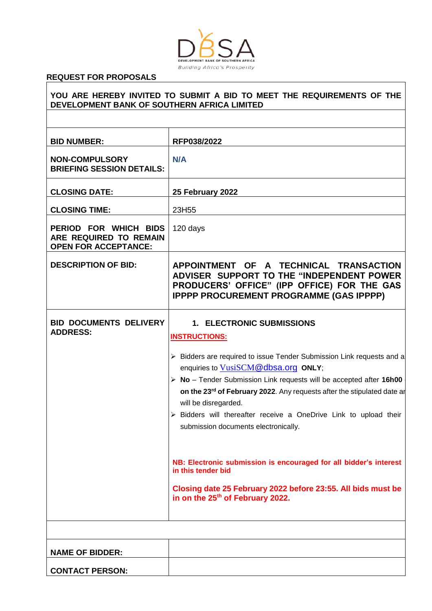

# **REQUEST FOR PROPOSALS**

| DEVELOPMENT BANK OF SOUTHERN AFRICA LIMITED                                    | YOU ARE HEREBY INVITED TO SUBMIT A BID TO MEET THE REQUIREMENTS OF THE                                                                                                                                                                                                                    |
|--------------------------------------------------------------------------------|-------------------------------------------------------------------------------------------------------------------------------------------------------------------------------------------------------------------------------------------------------------------------------------------|
|                                                                                |                                                                                                                                                                                                                                                                                           |
| <b>BID NUMBER:</b>                                                             | RFP038/2022                                                                                                                                                                                                                                                                               |
| <b>NON-COMPULSORY</b><br><b>BRIEFING SESSION DETAILS:</b>                      | N/A                                                                                                                                                                                                                                                                                       |
| <b>CLOSING DATE:</b>                                                           | 25 February 2022                                                                                                                                                                                                                                                                          |
| <b>CLOSING TIME:</b>                                                           | 23H55                                                                                                                                                                                                                                                                                     |
| PERIOD FOR WHICH BIDS<br>ARE REQUIRED TO REMAIN<br><b>OPEN FOR ACCEPTANCE:</b> | 120 days                                                                                                                                                                                                                                                                                  |
| <b>DESCRIPTION OF BID:</b>                                                     | APPOINTMENT OF A TECHNICAL TRANSACTION<br>ADVISER SUPPORT TO THE "INDEPENDENT POWER<br>PRODUCERS' OFFICE" (IPP OFFICE) FOR THE GAS<br><b>IPPPP PROCUREMENT PROGRAMME (GAS IPPPP)</b>                                                                                                      |
| <b>BID DOCUMENTS DELIVERY</b><br><b>ADDRESS:</b>                               | <b>1. ELECTRONIC SUBMISSIONS</b><br><b>INSTRUCTIONS:</b>                                                                                                                                                                                                                                  |
|                                                                                | > Bidders are required to issue Tender Submission Link requests and a<br>enquiries to VusiSCM@dbsa.org ONLY;<br>$\triangleright$ No - Tender Submission Link requests will be accepted after 16h00<br>on the 23 <sup>rd</sup> of February 2022. Any requests after the stipulated date ar |
|                                                                                | will be disregarded.<br>$\triangleright$ Bidders will thereafter receive a OneDrive Link to upload their<br>submission documents electronically.                                                                                                                                          |
|                                                                                | NB: Electronic submission is encouraged for all bidder's interest<br>in this tender bid                                                                                                                                                                                                   |
|                                                                                | Closing date 25 February 2022 before 23:55. All bids must be<br>in on the 25 <sup>th</sup> of February 2022.                                                                                                                                                                              |
|                                                                                |                                                                                                                                                                                                                                                                                           |
| <b>NAME OF BIDDER:</b>                                                         |                                                                                                                                                                                                                                                                                           |
| <b>CONTACT PERSON:</b>                                                         |                                                                                                                                                                                                                                                                                           |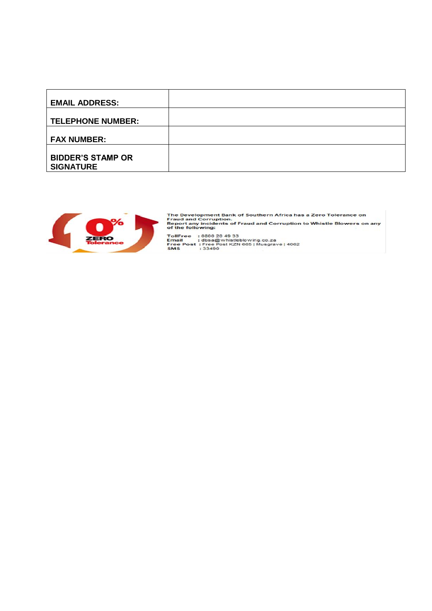| <b>EMAIL ADDRESS:</b>                        |  |
|----------------------------------------------|--|
| <b>TELEPHONE NUMBER:</b>                     |  |
| <b>FAX NUMBER:</b>                           |  |
| <b>BIDDER'S STAMP OR</b><br><b>SIGNATURE</b> |  |



The Development Bank of Southern Africa has a Zero Tolerance on<br>Fraud and Corruption.<br>Report any incidents of Fraud and Corruption to Whistle Blowers on any<br>of the following: TollFree : 0800 20 49 33<br>Email : dbsa@whistleblowing.co.za<br>Free Post : Free Post KZN 665 | Musgrave | 4062<br>SMS : 33490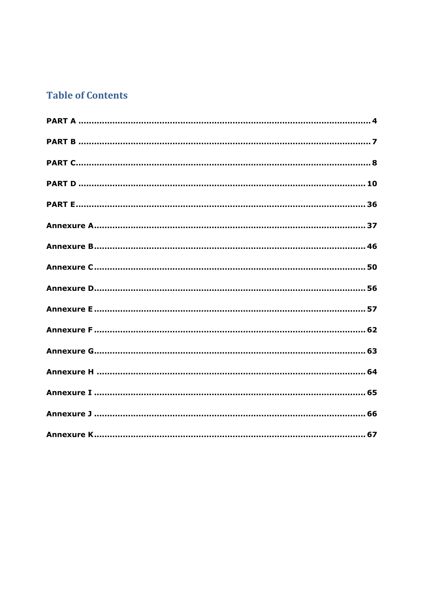# **Table of Contents**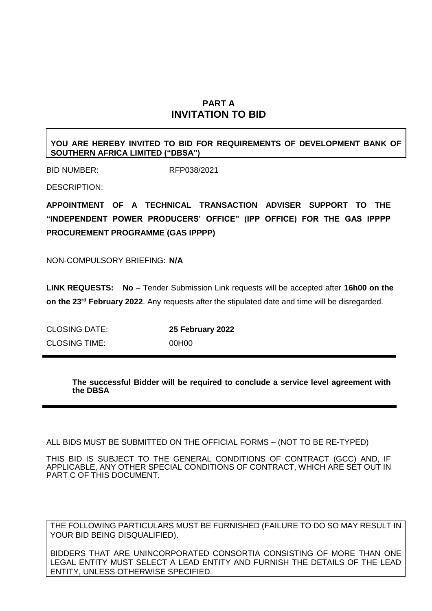# **PART A INVITATION TO BID**

#### <span id="page-3-0"></span>**YOU ARE HEREBY INVITED TO BID FOR REQUIREMENTS OF DEVELOPMENT BANK OF SOUTHERN AFRICA LIMITED ("DBSA")**

BID NUMBER: RFP038/2021

DESCRIPTION:

**APPOINTMENT OF A TECHNICAL TRANSACTION ADVISER SUPPORT TO THE "INDEPENDENT POWER PRODUCERS' OFFICE" (IPP OFFICE) FOR THE GAS IPPPP PROCUREMENT PROGRAMME (GAS IPPPP)** 

NON-COMPULSORY BRIEFING: **N/A**

**LINK REQUESTS: No** – Tender Submission Link requests will be accepted after **16h00 on the on the 23rd February 2022**. Any requests after the stipulated date and time will be disregarded.

CLOSING DATE: **25 February 2022** CLOSING TIME: 00H00

> **The successful Bidder will be required to conclude a service level agreement with the DBSA**

ALL BIDS MUST BE SUBMITTED ON THE OFFICIAL FORMS – (NOT TO BE RE-TYPED)

THIS BID IS SUBJECT TO THE GENERAL CONDITIONS OF CONTRACT (GCC) AND, IF APPLICABLE, ANY OTHER SPECIAL CONDITIONS OF CONTRACT, WHICH ARE SET OUT IN PART C OF THIS DOCUMENT.

THE FOLLOWING PARTICULARS MUST BE FURNISHED (FAILURE TO DO SO MAY RESULT IN YOUR BID BEING DISQUALIFIED).

BIDDERS THAT ARE UNINCORPORATED CONSORTIA CONSISTING OF MORE THAN ONE LEGAL ENTITY MUST SELECT A LEAD ENTITY AND FURNISH THE DETAILS OF THE LEAD ENTITY, UNLESS OTHERWISE SPECIFIED.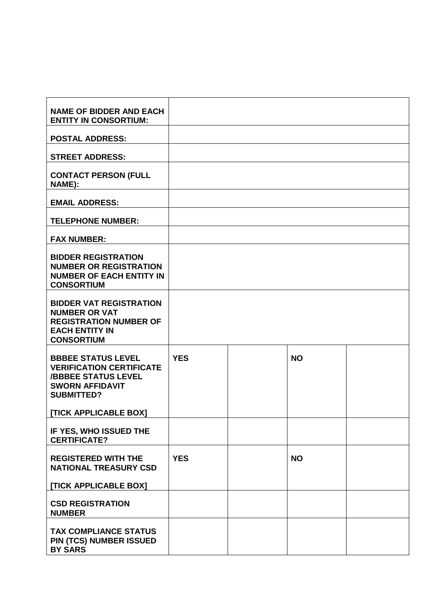| <b>NAME OF BIDDER AND EACH</b><br><b>ENTITY IN CONSORTIUM:</b>                                                                            |            |           |  |
|-------------------------------------------------------------------------------------------------------------------------------------------|------------|-----------|--|
| <b>POSTAL ADDRESS:</b>                                                                                                                    |            |           |  |
| <b>STREET ADDRESS:</b>                                                                                                                    |            |           |  |
| <b>CONTACT PERSON (FULL</b><br>NAME):                                                                                                     |            |           |  |
| <b>EMAIL ADDRESS:</b>                                                                                                                     |            |           |  |
| <b>TELEPHONE NUMBER:</b>                                                                                                                  |            |           |  |
| <b>FAX NUMBER:</b>                                                                                                                        |            |           |  |
| <b>BIDDER REGISTRATION</b><br><b>NUMBER OR REGISTRATION</b><br><b>NUMBER OF EACH ENTITY IN</b><br><b>CONSORTIUM</b>                       |            |           |  |
| <b>BIDDER VAT REGISTRATION</b><br><b>NUMBER OR VAT</b><br><b>REGISTRATION NUMBER OF</b><br><b>EACH ENTITY IN</b><br><b>CONSORTIUM</b>     |            |           |  |
| <b>BBBEE STATUS LEVEL</b><br><b>VERIFICATION CERTIFICATE</b><br><b>/BBBEE STATUS LEVEL</b><br><b>SWORN AFFIDAVIT</b><br><b>SUBMITTED?</b> | <b>YES</b> | <b>NO</b> |  |
| <b>ITICK APPLICABLE BOXI</b>                                                                                                              |            |           |  |
| IF YES, WHO ISSUED THE<br><b>CERTIFICATE?</b>                                                                                             |            |           |  |
| <b>REGISTERED WITH THE</b><br><b>NATIONAL TREASURY CSD</b>                                                                                | <b>YES</b> | <b>NO</b> |  |
| [TICK APPLICABLE BOX]                                                                                                                     |            |           |  |
| <b>CSD REGISTRATION</b><br><b>NUMBER</b>                                                                                                  |            |           |  |
| <b>TAX COMPLIANCE STATUS</b><br>PIN (TCS) NUMBER ISSUED<br><b>BY SARS</b>                                                                 |            |           |  |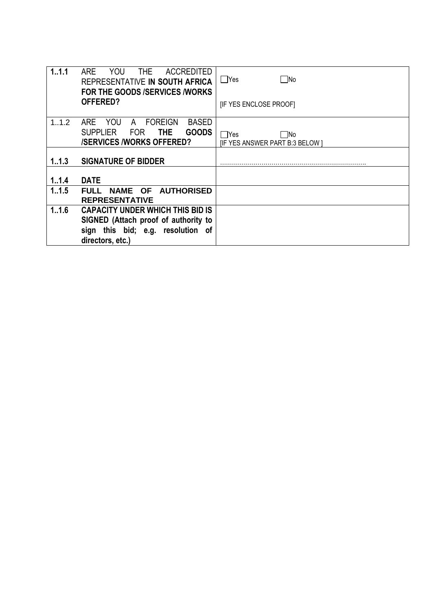| 1.1.1   | <b>ARE</b><br>YOU<br>THE.<br><b>ACCREDITED</b><br>REPRESENTATIVE IN SOUTH AFRICA<br><b>FOR THE GOODS /SERVICES /WORKS</b> | - No<br>  Yes                         |
|---------|---------------------------------------------------------------------------------------------------------------------------|---------------------------------------|
|         | OFFERED?                                                                                                                  | <b>IF YES ENCLOSE PROOFI</b>          |
| 1.1.2   | <b>FOREIGN</b><br>ARE.<br>YOU<br><b>BASED</b><br>A                                                                        |                                       |
|         | <b>GOODS</b><br><b>THE</b><br><b>SUPPLIER</b><br>FOR                                                                      | ∏No<br>l lYes                         |
|         | <b>/SERVICES /WORKS OFFERED?</b>                                                                                          | <b>IF YES ANSWER PART B:3 BELOW I</b> |
|         |                                                                                                                           |                                       |
| 1, 1, 3 | <b>SIGNATURE OF BIDDER</b>                                                                                                |                                       |
| 1, 1.4  | <b>DATE</b>                                                                                                               |                                       |
| 1.1.5   | NAME OF AUTHORISED<br><b>FULL</b><br><b>REPRESENTATIVE</b>                                                                |                                       |
| 1.16    | <b>CAPACITY UNDER WHICH THIS BID IS</b>                                                                                   |                                       |
|         | SIGNED (Attach proof of authority to                                                                                      |                                       |
|         | sign this bid; e.g. resolution of<br>directors, etc.)                                                                     |                                       |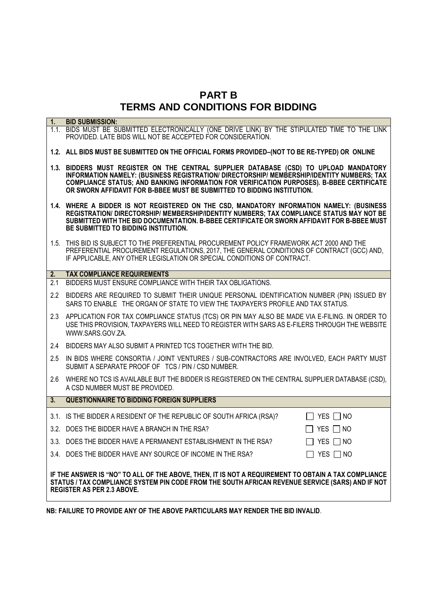# **PART B TERMS AND CONDITIONS FOR BIDDING**

<span id="page-6-0"></span>

| 1.                                                                                                                                                                                                                                           | <b>BID SUBMISSION:</b>                                                                                                                                                                                                                                                                                                                                      |  |  |
|----------------------------------------------------------------------------------------------------------------------------------------------------------------------------------------------------------------------------------------------|-------------------------------------------------------------------------------------------------------------------------------------------------------------------------------------------------------------------------------------------------------------------------------------------------------------------------------------------------------------|--|--|
|                                                                                                                                                                                                                                              | 1.1. BIDS MUST BE SUBMITTED ELECTRONICALLY (ONE DRIVE LINK) BY THE STIPULATED TIME TO THE LINK<br>PROVIDED. LATE BIDS WILL NOT BE ACCEPTED FOR CONSIDERATION.                                                                                                                                                                                               |  |  |
|                                                                                                                                                                                                                                              | 1.2. ALL BIDS MUST BE SUBMITTED ON THE OFFICIAL FORMS PROVIDED-(NOT TO BE RE-TYPED) OR ONLINE                                                                                                                                                                                                                                                               |  |  |
|                                                                                                                                                                                                                                              | 1.3. BIDDERS MUST REGISTER ON THE CENTRAL SUPPLIER DATABASE (CSD) TO UPLOAD MANDATORY<br>INFORMATION NAMELY: (BUSINESS REGISTRATION/ DIRECTORSHIP/ MEMBERSHIP/IDENTITY NUMBERS; TAX<br>COMPLIANCE STATUS; AND BANKING INFORMATION FOR VERIFICATION PURPOSES). B-BBEE CERTIFICATE<br>OR SWORN AFFIDAVIT FOR B-BBEE MUST BE SUBMITTED TO BIDDING INSTITUTION. |  |  |
|                                                                                                                                                                                                                                              | 1.4. WHERE A BIDDER IS NOT REGISTERED ON THE CSD, MANDATORY INFORMATION NAMELY: (BUSINESS<br>REGISTRATION/ DIRECTORSHIP/ MEMBERSHIP/IDENTITY NUMBERS; TAX COMPLIANCE STATUS MAY NOT BE<br>SUBMITTED WITH THE BID DOCUMENTATION. B-BBEE CERTIFICATE OR SWORN AFFIDAVIT FOR B-BBEE MUST<br>BE SUBMITTED TO BIDDING INSTITUTION.                               |  |  |
|                                                                                                                                                                                                                                              | 1.5. THIS BID IS SUBJECT TO THE PREFERENTIAL PROCUREMENT POLICY FRAMEWORK ACT 2000 AND THE<br>PREFERENTIAL PROCUREMENT REGULATIONS, 2017, THE GENERAL CONDITIONS OF CONTRACT (GCC) AND,<br>IF APPLICABLE, ANY OTHER LEGISLATION OR SPECIAL CONDITIONS OF CONTRACT.                                                                                          |  |  |
| 2.                                                                                                                                                                                                                                           | <b>TAX COMPLIANCE REQUIREMENTS</b>                                                                                                                                                                                                                                                                                                                          |  |  |
| 2.1                                                                                                                                                                                                                                          | BIDDERS MUST ENSURE COMPLIANCE WITH THEIR TAX OBLIGATIONS.                                                                                                                                                                                                                                                                                                  |  |  |
|                                                                                                                                                                                                                                              | 2.2 BIDDERS ARE REQUIRED TO SUBMIT THEIR UNIQUE PERSONAL IDENTIFICATION NUMBER (PIN) ISSUED BY<br>SARS TO ENABLE THE ORGAN OF STATE TO VIEW THE TAXPAYER'S PROFILE AND TAX STATUS.                                                                                                                                                                          |  |  |
|                                                                                                                                                                                                                                              | 2.3 APPLICATION FOR TAX COMPLIANCE STATUS (TCS) OR PIN MAY ALSO BE MADE VIA E-FILING. IN ORDER TO<br>USE THIS PROVISION, TAXPAYERS WILL NEED TO REGISTER WITH SARS AS E-FILERS THROUGH THE WEBSITE<br>WWW.SARS.GOV.ZA.                                                                                                                                      |  |  |
| 2.4                                                                                                                                                                                                                                          | BIDDERS MAY ALSO SUBMIT A PRINTED TCS TOGETHER WITH THE BID.                                                                                                                                                                                                                                                                                                |  |  |
| 2.5                                                                                                                                                                                                                                          | IN BIDS WHERE CONSORTIA / JOINT VENTURES / SUB-CONTRACTORS ARE INVOLVED, EACH PARTY MUST<br>SUBMIT A SEPARATE PROOF OF TCS / PIN / CSD NUMBER.                                                                                                                                                                                                              |  |  |
| 2.6                                                                                                                                                                                                                                          | WHERE NO TCS IS AVAILABLE BUT THE BIDDER IS REGISTERED ON THE CENTRAL SUPPLIER DATABASE (CSD),<br>A CSD NUMBER MUST BE PROVIDED.                                                                                                                                                                                                                            |  |  |
| 3 <sub>l</sub>                                                                                                                                                                                                                               | <b>QUESTIONNAIRE TO BIDDING FOREIGN SUPPLIERS</b>                                                                                                                                                                                                                                                                                                           |  |  |
|                                                                                                                                                                                                                                              | 3.1. IS THE BIDDER A RESIDENT OF THE REPUBLIC OF SOUTH AFRICA (RSA)?<br>$\Box$ YES $\Box$ NO                                                                                                                                                                                                                                                                |  |  |
|                                                                                                                                                                                                                                              | 3.2. DOES THE BIDDER HAVE A BRANCH IN THE RSA?<br>$\Box$ Yes $\Box$ No                                                                                                                                                                                                                                                                                      |  |  |
|                                                                                                                                                                                                                                              | $\Box$ YES $\Box$ NO<br>3.3. DOES THE BIDDER HAVE A PERMANENT ESTABLISHMENT IN THE RSA?                                                                                                                                                                                                                                                                     |  |  |
|                                                                                                                                                                                                                                              | 3.4. DOES THE BIDDER HAVE ANY SOURCE OF INCOME IN THE RSA?<br>YES $\Box$ NO                                                                                                                                                                                                                                                                                 |  |  |
| IF THE ANSWER IS "NO" TO ALL OF THE ABOVE, THEN, IT IS NOT A REQUIREMENT TO OBTAIN A TAX COMPLIANCE<br>STATUS / TAX COMPLIANCE SYSTEM PIN CODE FROM THE SOUTH AFRICAN REVENUE SERVICE (SARS) AND IF NOT<br><b>REGISTER AS PER 2.3 ABOVE.</b> |                                                                                                                                                                                                                                                                                                                                                             |  |  |

**NB: FAILURE TO PROVIDE ANY OF THE ABOVE PARTICULARS MAY RENDER THE BID INVALID**.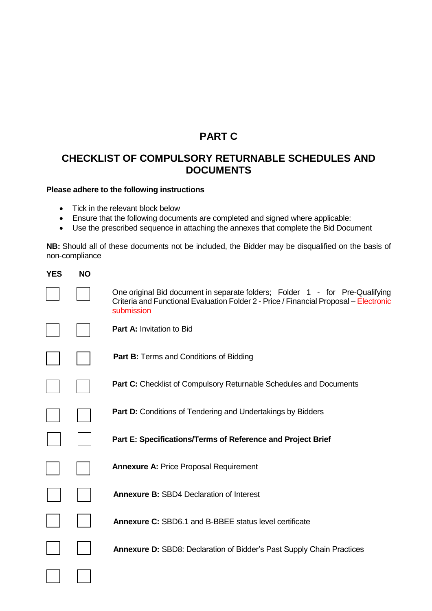# **PART C**

# <span id="page-7-0"></span>**CHECKLIST OF COMPULSORY RETURNABLE SCHEDULES AND DOCUMENTS**

#### **Please adhere to the following instructions**

- Tick in the relevant block below
- Ensure that the following documents are completed and signed where applicable:
- Use the prescribed sequence in attaching the annexes that complete the Bid Document

**NB:** Should all of these documents not be included, the Bidder may be disqualified on the basis of non-compliance

| <b>YES</b> | <b>NO</b> |                                                                                                                                                                                     |
|------------|-----------|-------------------------------------------------------------------------------------------------------------------------------------------------------------------------------------|
|            |           | One original Bid document in separate folders; Folder 1 - for Pre-Qualifying<br>Criteria and Functional Evaluation Folder 2 - Price / Financial Proposal - Electronic<br>submission |
|            |           | <b>Part A: Invitation to Bid</b>                                                                                                                                                    |
|            |           | <b>Part B:</b> Terms and Conditions of Bidding                                                                                                                                      |
|            |           | <b>Part C:</b> Checklist of Compulsory Returnable Schedules and Documents                                                                                                           |
|            |           | <b>Part D:</b> Conditions of Tendering and Undertakings by Bidders                                                                                                                  |
|            |           | Part E: Specifications/Terms of Reference and Project Brief                                                                                                                         |
|            |           | <b>Annexure A: Price Proposal Requirement</b>                                                                                                                                       |
|            |           | <b>Annexure B: SBD4 Declaration of Interest</b>                                                                                                                                     |
|            |           | <b>Annexure C: SBD6.1 and B-BBEE status level certificate</b>                                                                                                                       |
|            |           | <b>Annexure D: SBD8: Declaration of Bidder's Past Supply Chain Practices</b>                                                                                                        |
|            |           |                                                                                                                                                                                     |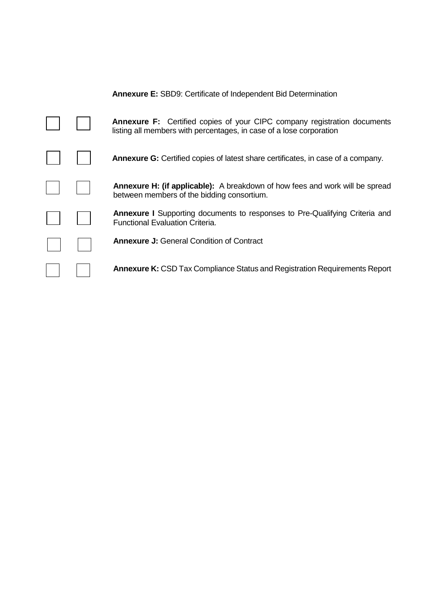|  | <b>Annexure E: SBD9: Certificate of Independent Bid Determination</b>                                                                                  |
|--|--------------------------------------------------------------------------------------------------------------------------------------------------------|
|  | <b>Annexure F:</b> Certified copies of your CIPC company registration documents<br>listing all members with percentages, in case of a lose corporation |
|  | <b>Annexure G:</b> Certified copies of latest share certificates, in case of a company.                                                                |
|  | <b>Annexure H: (if applicable):</b> A breakdown of how fees and work will be spread<br>between members of the bidding consortium.                      |
|  | <b>Annexure I</b> Supporting documents to responses to Pre-Qualifying Criteria and<br><b>Functional Evaluation Criteria.</b>                           |
|  | <b>Annexure J:</b> General Condition of Contract                                                                                                       |
|  | <b>Annexure K:</b> CSD Tax Compliance Status and Registration Requirements Report                                                                      |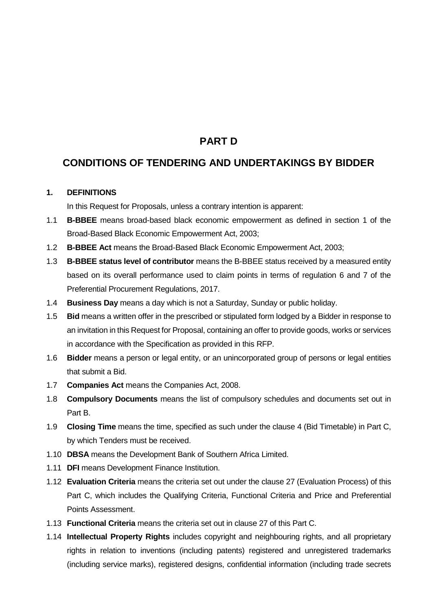# **PART D**

# <span id="page-9-0"></span>**CONDITIONS OF TENDERING AND UNDERTAKINGS BY BIDDER**

#### **1. DEFINITIONS**

In this Request for Proposals, unless a contrary intention is apparent:

- 1.1 **B-BBEE** means broad-based black economic empowerment as defined in section 1 of the Broad-Based Black Economic Empowerment Act, 2003;
- 1.2 **B-BBEE Act** means the Broad-Based Black Economic Empowerment Act, 2003;
- 1.3 **B-BBEE status level of contributor** means the B-BBEE status received by a measured entity based on its overall performance used to claim points in terms of regulation 6 and 7 of the Preferential Procurement Regulations, 2017.
- 1.4 **Business Day** means a day which is not a Saturday, Sunday or public holiday.
- 1.5 **Bid** means a written offer in the prescribed or stipulated form lodged by a Bidder in response to an invitation in this Request for Proposal, containing an offer to provide goods, works or services in accordance with the Specification as provided in this RFP.
- 1.6 **Bidder** means a person or legal entity, or an unincorporated group of persons or legal entities that submit a Bid.
- 1.7 **Companies Act** means the Companies Act, 2008.
- 1.8 **Compulsory Documents** means the list of compulsory schedules and documents set out in Part B.
- 1.9 **Closing Time** means the time, specified as such under the clause [4](#page-11-0) (Bid Timetable) in Part C, by which Tenders must be received.
- 1.10 **DBSA** means the Development Bank of Southern Africa Limited.
- 1.11 **DFI** means Development Finance Institution.
- 1.12 **Evaluation Criteria** means the criteria set out under the clause [27](#page-19-0) (Evaluation Process) of this Part C, which includes the Qualifying Criteria, Functional Criteria and Price and Preferential Points Assessment.
- 1.13 **Functional Criteria** means the criteria set out in clause 27 of this Part C.
- 1.14 **Intellectual Property Rights** includes copyright and neighbouring rights, and all proprietary rights in relation to inventions (including patents) registered and unregistered trademarks (including service marks), registered designs, confidential information (including trade secrets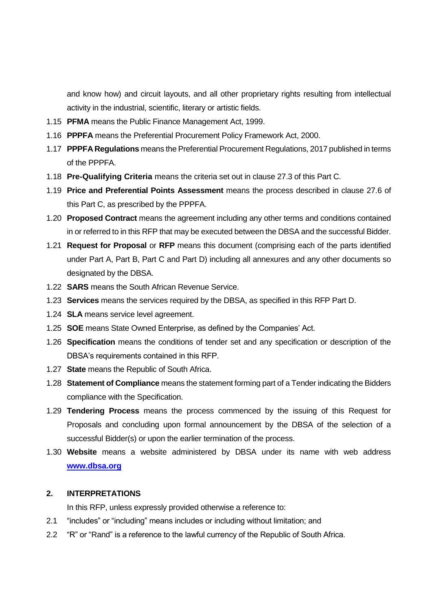and know how) and circuit layouts, and all other proprietary rights resulting from intellectual activity in the industrial, scientific, literary or artistic fields.

- 1.15 **PFMA** means the Public Finance Management Act, 1999.
- 1.16 **PPPFA** means the Preferential Procurement Policy Framework Act, 2000.
- 1.17 **PPPFA Regulations** means the Preferential Procurement Regulations, 2017 published in terms of the PPPFA.
- 1.18 **Pre-Qualifying Criteria** means the criteria set out in clause [27.3](#page-21-0) of this Part C.
- 1.19 **Price and Preferential Points Assessment** means the process described in clause [27.6](#page-21-1) of this Part C, as prescribed by the PPPFA.
- 1.20 **Proposed Contract** means the agreement including any other terms and conditions contained in or referred to in this RFP that may be executed between the DBSA and the successful Bidder.
- 1.21 **Request for Proposal** or **RFP** means this document (comprising each of the parts identified under Part A, Part B, Part C and Part D) including all annexures and any other documents so designated by the DBSA.
- 1.22 **SARS** means the South African Revenue Service.
- 1.23 **Services** means the services required by the DBSA, as specified in this RFP Part D.
- 1.24 **SLA** means service level agreement.
- 1.25 **SOE** means State Owned Enterprise, as defined by the Companies' Act.
- 1.26 **Specification** means the conditions of tender set and any specification or description of the DBSA's requirements contained in this RFP.
- 1.27 **State** means the Republic of South Africa.
- 1.28 **Statement of Compliance** means the statement forming part of a Tender indicating the Bidders compliance with the Specification.
- 1.29 **Tendering Process** means the process commenced by the issuing of this Request for Proposals and concluding upon formal announcement by the DBSA of the selection of a successful Bidder(s) or upon the earlier termination of the process.
- 1.30 **Website** means a website administered by DBSA under its name with web address **[www.dbsa.org](http://www.dbsa.org/)**

#### **2. INTERPRETATIONS**

In this RFP, unless expressly provided otherwise a reference to:

- 2.1 "includes" or "including" means includes or including without limitation; and
- 2.2 "R" or "Rand" is a reference to the lawful currency of the Republic of South Africa.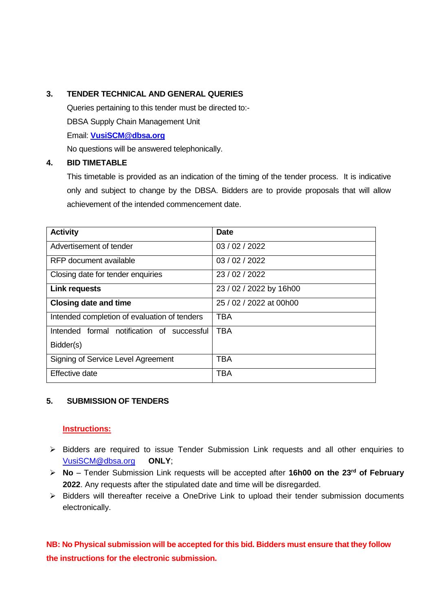#### **3. TENDER TECHNICAL AND GENERAL QUERIES**

Queries pertaining to this tender must be directed to:- DBSA Supply Chain Management Unit Email: **[VusiSCM@dbsa.org](mailto:VusiSCM@dbsa.org)** No questions will be answered telephonically.

#### <span id="page-11-0"></span>**4. BID TIMETABLE**

This timetable is provided as an indication of the timing of the tender process. It is indicative only and subject to change by the DBSA. Bidders are to provide proposals that will allow achievement of the intended commencement date.

| <b>Activity</b>                              | <b>Date</b>             |
|----------------------------------------------|-------------------------|
| Advertisement of tender                      | 03/02/2022              |
| RFP document available                       | 03/02/2022              |
| Closing date for tender enquiries            | 23/02/2022              |
| <b>Link requests</b>                         | 23 / 02 / 2022 by 16h00 |
| <b>Closing date and time</b>                 | 25 / 02 / 2022 at 00h00 |
| Intended completion of evaluation of tenders | <b>TBA</b>              |
| Intended formal notification of successful   | <b>TBA</b>              |
| Bidder(s)                                    |                         |
| Signing of Service Level Agreement           | <b>TBA</b>              |
| Effective date                               | <b>TBA</b>              |

#### **5. SUBMISSION OF TENDERS**

#### **Instructions:**

- ➢ Bidders are required to issue Tender Submission Link requests and all other enquiries to [VusiSCM@dbsa.org](mailto:VusiSCM@dbsa.org) **ONLY**;
- ➢ **No** Tender Submission Link requests will be accepted after **16h00 on the 23rd of February 2022**. Any requests after the stipulated date and time will be disregarded.
- ➢ Bidders will thereafter receive a OneDrive Link to upload their tender submission documents electronically.

**NB: No Physical submission will be accepted for this bid. Bidders must ensure that they follow the instructions for the electronic submission.**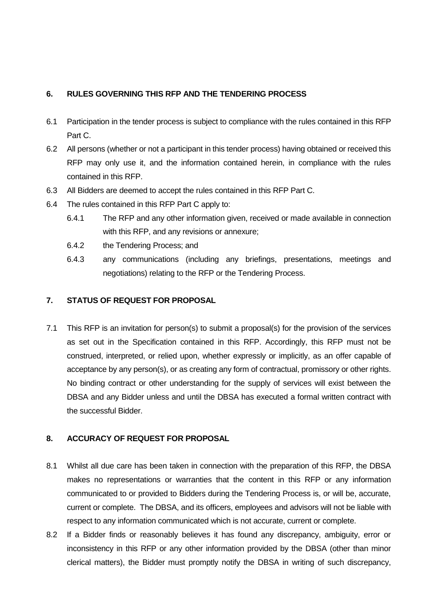#### **6. RULES GOVERNING THIS RFP AND THE TENDERING PROCESS**

- 6.1 Participation in the tender process is subject to compliance with the rules contained in this RFP Part C.
- 6.2 All persons (whether or not a participant in this tender process) having obtained or received this RFP may only use it, and the information contained herein, in compliance with the rules contained in this RFP.
- 6.3 All Bidders are deemed to accept the rules contained in this RFP Part C.
- 6.4 The rules contained in this RFP Part C apply to:
	- 6.4.1 The RFP and any other information given, received or made available in connection with this RFP, and any revisions or annexure;
	- 6.4.2 the Tendering Process; and
	- 6.4.3 any communications (including any briefings, presentations, meetings and negotiations) relating to the RFP or the Tendering Process.

#### **7. STATUS OF REQUEST FOR PROPOSAL**

7.1 This RFP is an invitation for person(s) to submit a proposal(s) for the provision of the services as set out in the Specification contained in this RFP. Accordingly, this RFP must not be construed, interpreted, or relied upon, whether expressly or implicitly, as an offer capable of acceptance by any person(s), or as creating any form of contractual, promissory or other rights. No binding contract or other understanding for the supply of services will exist between the DBSA and any Bidder unless and until the DBSA has executed a formal written contract with the successful Bidder.

#### **8. ACCURACY OF REQUEST FOR PROPOSAL**

- 8.1 Whilst all due care has been taken in connection with the preparation of this RFP, the DBSA makes no representations or warranties that the content in this RFP or any information communicated to or provided to Bidders during the Tendering Process is, or will be, accurate, current or complete. The DBSA, and its officers, employees and advisors will not be liable with respect to any information communicated which is not accurate, current or complete.
- 8.2 If a Bidder finds or reasonably believes it has found any discrepancy, ambiguity, error or inconsistency in this RFP or any other information provided by the DBSA (other than minor clerical matters), the Bidder must promptly notify the DBSA in writing of such discrepancy,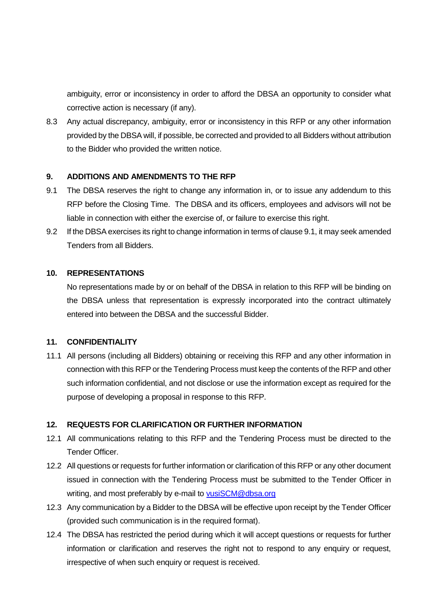ambiguity, error or inconsistency in order to afford the DBSA an opportunity to consider what corrective action is necessary (if any).

8.3 Any actual discrepancy, ambiguity, error or inconsistency in this RFP or any other information provided by the DBSA will, if possible, be corrected and provided to all Bidders without attribution to the Bidder who provided the written notice.

#### **9. ADDITIONS AND AMENDMENTS TO THE RFP**

- 9.1 The DBSA reserves the right to change any information in, or to issue any addendum to this RFP before the Closing Time. The DBSA and its officers, employees and advisors will not be liable in connection with either the exercise of, or failure to exercise this right.
- 9.2 If the DBSA exercises its right to change information in terms of clause 9.1, it may seek amended Tenders from all Bidders.

#### **10. REPRESENTATIONS**

No representations made by or on behalf of the DBSA in relation to this RFP will be binding on the DBSA unless that representation is expressly incorporated into the contract ultimately entered into between the DBSA and the successful Bidder.

#### **11. CONFIDENTIALITY**

11.1 All persons (including all Bidders) obtaining or receiving this RFP and any other information in connection with this RFP or the Tendering Process must keep the contents of the RFP and other such information confidential, and not disclose or use the information except as required for the purpose of developing a proposal in response to this RFP.

#### **12. REQUESTS FOR CLARIFICATION OR FURTHER INFORMATION**

- 12.1 All communications relating to this RFP and the Tendering Process must be directed to the Tender Officer.
- 12.2 All questions or requests for further information or clarification of this RFP or any other document issued in connection with the Tendering Process must be submitted to the Tender Officer in writing, and most preferably by e-mail to [vusiSCM@dbsa.org](mailto:vusiSCM@dbsa.org)
- 12.3 Any communication by a Bidder to the DBSA will be effective upon receipt by the Tender Officer (provided such communication is in the required format).
- 12.4 The DBSA has restricted the period during which it will accept questions or requests for further information or clarification and reserves the right not to respond to any enquiry or request, irrespective of when such enquiry or request is received.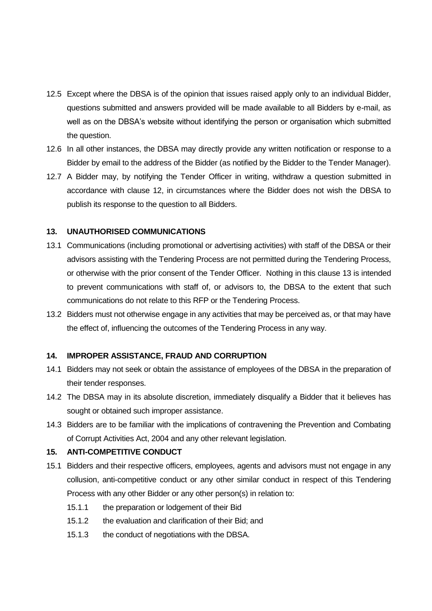- 12.5 Except where the DBSA is of the opinion that issues raised apply only to an individual Bidder, questions submitted and answers provided will be made available to all Bidders by e-mail, as well as on the DBSA's website without identifying the person or organisation which submitted the question.
- 12.6 In all other instances, the DBSA may directly provide any written notification or response to a Bidder by email to the address of the Bidder (as notified by the Bidder to the Tender Manager).
- 12.7 A Bidder may, by notifying the Tender Officer in writing, withdraw a question submitted in accordance with clause 12, in circumstances where the Bidder does not wish the DBSA to publish its response to the question to all Bidders.

#### <span id="page-14-0"></span>**13. UNAUTHORISED COMMUNICATIONS**

- 13.1 Communications (including promotional or advertising activities) with staff of the DBSA or their advisors assisting with the Tendering Process are not permitted during the Tendering Process, or otherwise with the prior consent of the Tender Officer. Nothing in this clause [13](#page-14-0) is intended to prevent communications with staff of, or advisors to, the DBSA to the extent that such communications do not relate to this RFP or the Tendering Process.
- 13.2 Bidders must not otherwise engage in any activities that may be perceived as, or that may have the effect of, influencing the outcomes of the Tendering Process in any way.

#### **14. IMPROPER ASSISTANCE, FRAUD AND CORRUPTION**

- 14.1 Bidders may not seek or obtain the assistance of employees of the DBSA in the preparation of their tender responses.
- 14.2 The DBSA may in its absolute discretion, immediately disqualify a Bidder that it believes has sought or obtained such improper assistance.
- 14.3 Bidders are to be familiar with the implications of contravening the Prevention and Combating of Corrupt Activities Act, 2004 and any other relevant legislation.

#### <span id="page-14-1"></span>**15. ANTI-COMPETITIVE CONDUCT**

- 15.1 Bidders and their respective officers, employees, agents and advisors must not engage in any collusion, anti-competitive conduct or any other similar conduct in respect of this Tendering Process with any other Bidder or any other person(s) in relation to:
	- 15.1.1 the preparation or lodgement of their Bid
	- 15.1.2 the evaluation and clarification of their Bid; and
	- 15.1.3 the conduct of negotiations with the DBSA.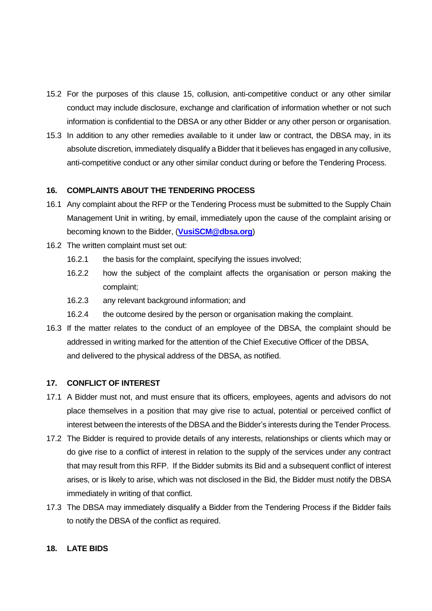- 15.2 For the purposes of this clause [15,](#page-14-1) collusion, anti-competitive conduct or any other similar conduct may include disclosure, exchange and clarification of information whether or not such information is confidential to the DBSA or any other Bidder or any other person or organisation.
- 15.3 In addition to any other remedies available to it under law or contract, the DBSA may, in its absolute discretion, immediately disqualify a Bidder that it believes has engaged in any collusive, anti-competitive conduct or any other similar conduct during or before the Tendering Process.

#### **16. COMPLAINTS ABOUT THE TENDERING PROCESS**

- 16.1 Any complaint about the RFP or the Tendering Process must be submitted to the Supply Chain Management Unit in writing, by email, immediately upon the cause of the complaint arising or becoming known to the Bidder, (**[VusiSCM@dbsa.org](mailto:VusiSCM@dbsa.org)**)
- 16.2 The written complaint must set out:
	- 16.2.1 the basis for the complaint, specifying the issues involved;
	- 16.2.2 how the subject of the complaint affects the organisation or person making the complaint;
	- 16.2.3 any relevant background information; and
	- 16.2.4 the outcome desired by the person or organisation making the complaint.
- 16.3 If the matter relates to the conduct of an employee of the DBSA, the complaint should be addressed in writing marked for the attention of the Chief Executive Officer of the DBSA, and delivered to the physical address of the DBSA, as notified.

#### **17. CONFLICT OF INTEREST**

- 17.1 A Bidder must not, and must ensure that its officers, employees, agents and advisors do not place themselves in a position that may give rise to actual, potential or perceived conflict of interest between the interests of the DBSA and the Bidder's interests during the Tender Process.
- 17.2 The Bidder is required to provide details of any interests, relationships or clients which may or do give rise to a conflict of interest in relation to the supply of the services under any contract that may result from this RFP. If the Bidder submits its Bid and a subsequent conflict of interest arises, or is likely to arise, which was not disclosed in the Bid, the Bidder must notify the DBSA immediately in writing of that conflict.
- 17.3 The DBSA may immediately disqualify a Bidder from the Tendering Process if the Bidder fails to notify the DBSA of the conflict as required.

#### **18. LATE BIDS**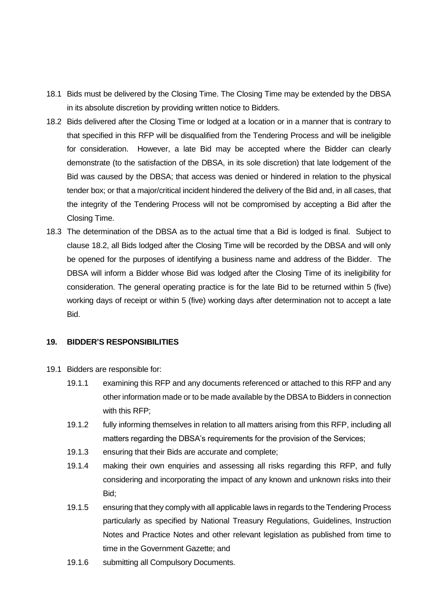- 18.1 Bids must be delivered by the Closing Time. The Closing Time may be extended by the DBSA in its absolute discretion by providing written notice to Bidders.
- <span id="page-16-0"></span>18.2 Bids delivered after the Closing Time or lodged at a location or in a manner that is contrary to that specified in this RFP will be disqualified from the Tendering Process and will be ineligible for consideration. However, a late Bid may be accepted where the Bidder can clearly demonstrate (to the satisfaction of the DBSA, in its sole discretion) that late lodgement of the Bid was caused by the DBSA; that access was denied or hindered in relation to the physical tender box; or that a major/critical incident hindered the delivery of the Bid and, in all cases, that the integrity of the Tendering Process will not be compromised by accepting a Bid after the Closing Time.
- 18.3 The determination of the DBSA as to the actual time that a Bid is lodged is final. Subject to clause [18.2,](#page-16-0) all Bids lodged after the Closing Time will be recorded by the DBSA and will only be opened for the purposes of identifying a business name and address of the Bidder. The DBSA will inform a Bidder whose Bid was lodged after the Closing Time of its ineligibility for consideration. The general operating practice is for the late Bid to be returned within 5 (five) working days of receipt or within 5 (five) working days after determination not to accept a late Bid.

#### **19. BIDDER'S RESPONSIBILITIES**

- 19.1 Bidders are responsible for:
	- 19.1.1 examining this RFP and any documents referenced or attached to this RFP and any other information made or to be made available by the DBSA to Bidders in connection with this RFP;
	- 19.1.2 fully informing themselves in relation to all matters arising from this RFP, including all matters regarding the DBSA's requirements for the provision of the Services;
	- 19.1.3 ensuring that their Bids are accurate and complete;
	- 19.1.4 making their own enquiries and assessing all risks regarding this RFP, and fully considering and incorporating the impact of any known and unknown risks into their Bid;
	- 19.1.5 ensuring that they comply with all applicable laws in regards to the Tendering Process particularly as specified by National Treasury Regulations, Guidelines, Instruction Notes and Practice Notes and other relevant legislation as published from time to time in the Government Gazette; and
	- 19.1.6 submitting all Compulsory Documents.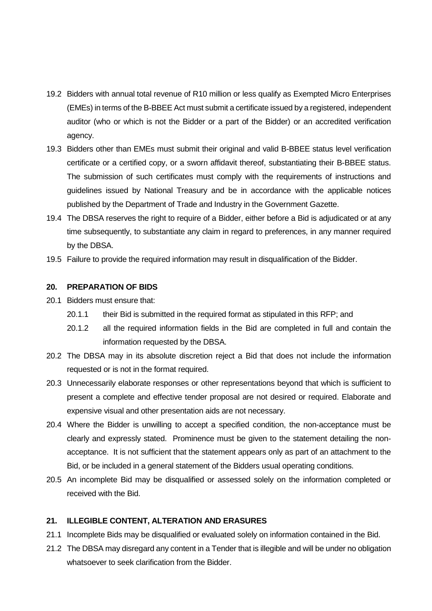- 19.2 Bidders with annual total revenue of R10 million or less qualify as Exempted Micro Enterprises (EMEs) in terms of the B-BBEE Act must submit a certificate issued by a registered, independent auditor (who or which is not the Bidder or a part of the Bidder) or an accredited verification agency.
- 19.3 Bidders other than EMEs must submit their original and valid B-BBEE status level verification certificate or a certified copy, or a sworn affidavit thereof, substantiating their B-BBEE status. The submission of such certificates must comply with the requirements of instructions and guidelines issued by National Treasury and be in accordance with the applicable notices published by the Department of Trade and Industry in the Government Gazette.
- 19.4 The DBSA reserves the right to require of a Bidder, either before a Bid is adjudicated or at any time subsequently, to substantiate any claim in regard to preferences, in any manner required by the DBSA.
- 19.5 Failure to provide the required information may result in disqualification of the Bidder.

#### **20. PREPARATION OF BIDS**

- 20.1 Bidders must ensure that:
	- 20.1.1 their Bid is submitted in the required format as stipulated in this RFP; and
	- 20.1.2 all the required information fields in the Bid are completed in full and contain the information requested by the DBSA.
- 20.2 The DBSA may in its absolute discretion reject a Bid that does not include the information requested or is not in the format required.
- 20.3 Unnecessarily elaborate responses or other representations beyond that which is sufficient to present a complete and effective tender proposal are not desired or required. Elaborate and expensive visual and other presentation aids are not necessary.
- 20.4 Where the Bidder is unwilling to accept a specified condition, the non-acceptance must be clearly and expressly stated. Prominence must be given to the statement detailing the nonacceptance. It is not sufficient that the statement appears only as part of an attachment to the Bid, or be included in a general statement of the Bidders usual operating conditions.
- 20.5 An incomplete Bid may be disqualified or assessed solely on the information completed or received with the Bid.

#### **21. ILLEGIBLE CONTENT, ALTERATION AND ERASURES**

- 21.1 Incomplete Bids may be disqualified or evaluated solely on information contained in the Bid.
- 21.2 The DBSA may disregard any content in a Tender that is illegible and will be under no obligation whatsoever to seek clarification from the Bidder.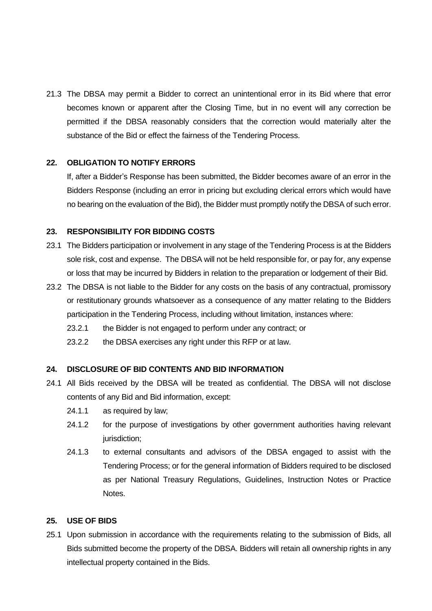21.3 The DBSA may permit a Bidder to correct an unintentional error in its Bid where that error becomes known or apparent after the Closing Time, but in no event will any correction be permitted if the DBSA reasonably considers that the correction would materially alter the substance of the Bid or effect the fairness of the Tendering Process.

#### **22. OBLIGATION TO NOTIFY ERRORS**

If, after a Bidder's Response has been submitted, the Bidder becomes aware of an error in the Bidders Response (including an error in pricing but excluding clerical errors which would have no bearing on the evaluation of the Bid), the Bidder must promptly notify the DBSA of such error.

#### **23. RESPONSIBILITY FOR BIDDING COSTS**

- 23.1 The Bidders participation or involvement in any stage of the Tendering Process is at the Bidders sole risk, cost and expense. The DBSA will not be held responsible for, or pay for, any expense or loss that may be incurred by Bidders in relation to the preparation or lodgement of their Bid.
- 23.2 The DBSA is not liable to the Bidder for any costs on the basis of any contractual, promissory or restitutionary grounds whatsoever as a consequence of any matter relating to the Bidders participation in the Tendering Process, including without limitation, instances where:
	- 23.2.1 the Bidder is not engaged to perform under any contract; or
	- 23.2.2 the DBSA exercises any right under this RFP or at law.

#### **24. DISCLOSURE OF BID CONTENTS AND BID INFORMATION**

- 24.1 All Bids received by the DBSA will be treated as confidential. The DBSA will not disclose contents of any Bid and Bid information, except:
	- 24.1.1 as required by law;
	- 24.1.2 for the purpose of investigations by other government authorities having relevant jurisdiction;
	- 24.1.3 to external consultants and advisors of the DBSA engaged to assist with the Tendering Process; or for the general information of Bidders required to be disclosed as per National Treasury Regulations, Guidelines, Instruction Notes or Practice Notes.

#### **25. USE OF BIDS**

25.1 Upon submission in accordance with the requirements relating to the submission of Bids, all Bids submitted become the property of the DBSA. Bidders will retain all ownership rights in any intellectual property contained in the Bids.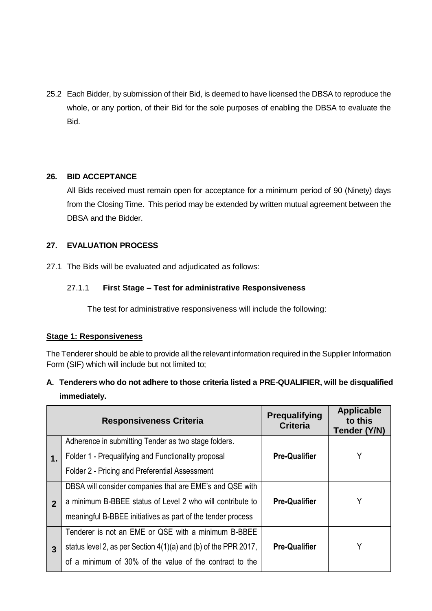25.2 Each Bidder, by submission of their Bid, is deemed to have licensed the DBSA to reproduce the whole, or any portion, of their Bid for the sole purposes of enabling the DBSA to evaluate the Bid.

#### **26. BID ACCEPTANCE**

All Bids received must remain open for acceptance for a minimum period of 90 (Ninety) days from the Closing Time. This period may be extended by written mutual agreement between the DBSA and the Bidder.

#### <span id="page-19-0"></span>**27. EVALUATION PROCESS**

27.1 The Bids will be evaluated and adjudicated as follows:

#### 27.1.1 **First Stage – Test for administrative Responsiveness**

The test for administrative responsiveness will include the following:

#### **Stage 1: Responsiveness**

The Tenderer should be able to provide all the relevant information required in the Supplier Information Form (SIF) which will include but not limited to;

# **A. Tenderers who do not adhere to those criteria listed a PRE-QUALIFIER, will be disqualified immediately.**

|                | <b>Responsiveness Criteria</b>                                    | <b>Prequalifying</b><br><b>Criteria</b> | <b>Applicable</b><br>to this<br>Tender (Y/N) |
|----------------|-------------------------------------------------------------------|-----------------------------------------|----------------------------------------------|
|                | Adherence in submitting Tender as two stage folders.              |                                         |                                              |
| $\mathbf 1$ .  | Folder 1 - Prequalifying and Functionality proposal               | <b>Pre-Qualifier</b>                    | Y                                            |
|                | Folder 2 - Pricing and Preferential Assessment                    |                                         |                                              |
|                | DBSA will consider companies that are EME's and QSE with          |                                         |                                              |
| $\overline{2}$ | a minimum B-BBEE status of Level 2 who will contribute to         | <b>Pre-Qualifier</b>                    | Y                                            |
|                | meaningful B-BBEE initiatives as part of the tender process       |                                         |                                              |
|                | Tenderer is not an EME or QSE with a minimum B-BBEE               |                                         |                                              |
| 3              | status level 2, as per Section $4(1)(a)$ and (b) of the PPR 2017, | <b>Pre-Qualifier</b>                    | Y                                            |
|                | of a minimum of 30% of the value of the contract to the           |                                         |                                              |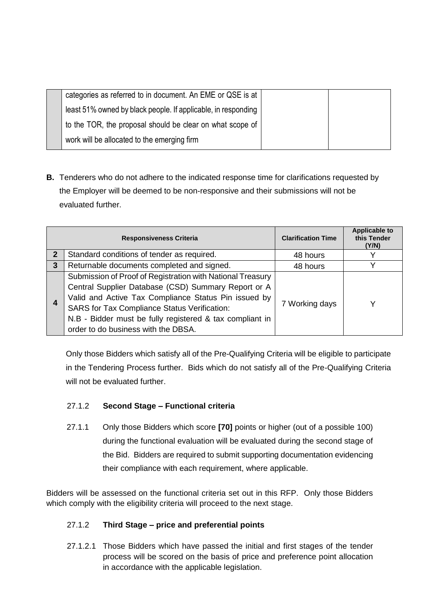| categories as referred to in document. An EME or QSE is at    |  |
|---------------------------------------------------------------|--|
| least 51% owned by black people. If applicable, in responding |  |
| to the TOR, the proposal should be clear on what scope of     |  |
| work will be allocated to the emerging firm                   |  |
|                                                               |  |

**B.** Tenderers who do not adhere to the indicated response time for clarifications requested by the Employer will be deemed to be non-responsive and their submissions will not be evaluated further.

|   | <b>Responsiveness Criteria</b>                                                                                                                                                                                                                                                                                               | <b>Clarification Time</b> | <b>Applicable to</b><br>this Tender<br>(Y/N) |
|---|------------------------------------------------------------------------------------------------------------------------------------------------------------------------------------------------------------------------------------------------------------------------------------------------------------------------------|---------------------------|----------------------------------------------|
|   | Standard conditions of tender as required.                                                                                                                                                                                                                                                                                   | 48 hours                  |                                              |
| 3 | Returnable documents completed and signed.                                                                                                                                                                                                                                                                                   | 48 hours                  |                                              |
| 4 | Submission of Proof of Registration with National Treasury<br>Central Supplier Database (CSD) Summary Report or A<br>Valid and Active Tax Compliance Status Pin issued by<br>SARS for Tax Compliance Status Verification:<br>N.B - Bidder must be fully registered & tax compliant in<br>order to do business with the DBSA. | 7 Working days            | v                                            |

Only those Bidders which satisfy all of the Pre-Qualifying Criteria will be eligible to participate in the Tendering Process further. Bids which do not satisfy all of the Pre-Qualifying Criteria will not be evaluated further.

## 27.1.2 **Second Stage – Functional criteria**

27.1.1 Only those Bidders which score **[70]** points or higher (out of a possible 100) during the functional evaluation will be evaluated during the second stage of the Bid. Bidders are required to submit supporting documentation evidencing their compliance with each requirement, where applicable.

Bidders will be assessed on the functional criteria set out in this RFP. Only those Bidders which comply with the eligibility criteria will proceed to the next stage.

#### 27.1.2 **Third Stage – price and preferential points**

27.1.2.1 Those Bidders which have passed the initial and first stages of the tender process will be scored on the basis of price and preference point allocation in accordance with the applicable legislation.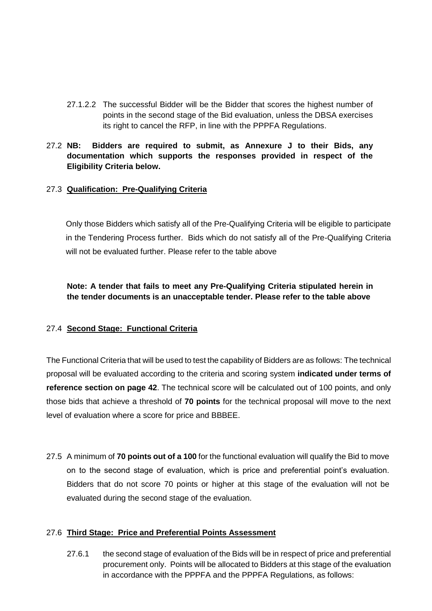27.1.2.2 The successful Bidder will be the Bidder that scores the highest number of points in the second stage of the Bid evaluation, unless the DBSA exercises its right to cancel the RFP, in line with the PPPFA Regulations.

#### 27.2 **NB: Bidders are required to submit, as Annexure J to their Bids, any documentation which supports the responses provided in respect of the Eligibility Criteria below.**

#### <span id="page-21-0"></span>27.3 **Qualification: Pre-Qualifying Criteria**

Only those Bidders which satisfy all of the Pre-Qualifying Criteria will be eligible to participate in the Tendering Process further. Bids which do not satisfy all of the Pre-Qualifying Criteria will not be evaluated further. Please refer to the table above

**Note: A tender that fails to meet any Pre-Qualifying Criteria stipulated herein in the tender documents is an unacceptable tender. Please refer to the table above**

#### 27.4 **Second Stage: Functional Criteria**

The Functional Criteria that will be used to test the capability of Bidders are as follows: The technical proposal will be evaluated according to the criteria and scoring system **indicated under terms of reference section on page 42**. The technical score will be calculated out of 100 points, and only those bids that achieve a threshold of **70 points** for the technical proposal will move to the next level of evaluation where a score for price and BBBEE.

27.5 A minimum of **70 points out of a 100** for the functional evaluation will qualify the Bid to move on to the second stage of evaluation, which is price and preferential point's evaluation. Bidders that do not score 70 points or higher at this stage of the evaluation will not be evaluated during the second stage of the evaluation.

#### <span id="page-21-1"></span>27.6 **Third Stage: Price and Preferential Points Assessment**

27.6.1 the second stage of evaluation of the Bids will be in respect of price and preferential procurement only. Points will be allocated to Bidders at this stage of the evaluation in accordance with the PPPFA and the PPPFA Regulations, as follows: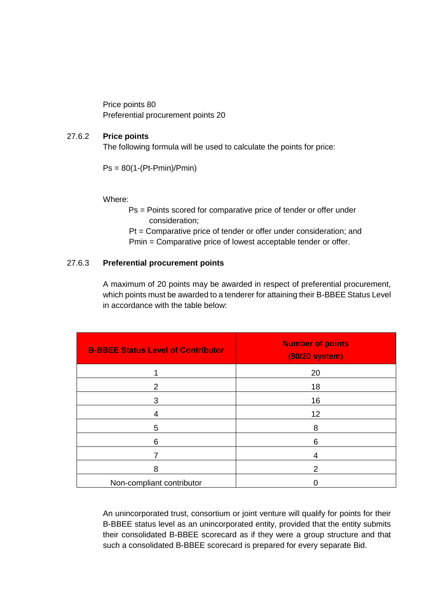Price points 80 Preferential procurement points 20

#### 27.6.2 **Price points**

The following formula will be used to calculate the points for price:

Ps = 80(1-(Pt-Pmin)/Pmin)

Where:

Ps = Points scored for comparative price of tender or offer under consideration;

Pt = Comparative price of tender or offer under consideration; and Pmin = Comparative price of lowest acceptable tender or offer.

#### 27.6.3 **Preferential procurement points**

A maximum of 20 points may be awarded in respect of preferential procurement, which points must be awarded to a tenderer for attaining their B-BBEE Status Level in accordance with the table below:

| <b>B-BBEE Status Level of Contributor</b> | <b>Number of points</b><br><b>(80/20 system)</b> |
|-------------------------------------------|--------------------------------------------------|
|                                           | 20                                               |
| $\mathcal{P}$                             | 18                                               |
| 3                                         | 16                                               |
| 4                                         | 12                                               |
| 5                                         | 8                                                |
| 6                                         | 6                                                |
| 7                                         | 4                                                |
| 8                                         | 2                                                |
| Non-compliant contributor                 |                                                  |

An unincorporated trust, consortium or joint venture will qualify for points for their B-BBEE status level as an unincorporated entity, provided that the entity submits their consolidated B-BBEE scorecard as if they were a group structure and that such a consolidated B-BBEE scorecard is prepared for every separate Bid.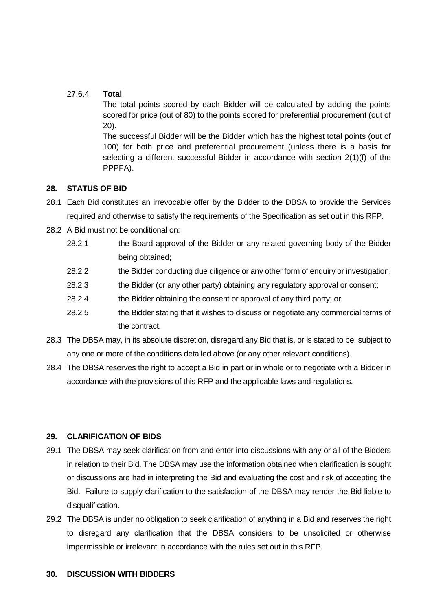#### 27.6.4 **Total**

The total points scored by each Bidder will be calculated by adding the points scored for price (out of 80) to the points scored for preferential procurement (out of 20).

The successful Bidder will be the Bidder which has the highest total points (out of 100) for both price and preferential procurement (unless there is a basis for selecting a different successful Bidder in accordance with section 2(1)(f) of the PPPFA).

### **28. STATUS OF BID**

- 28.1 Each Bid constitutes an irrevocable offer by the Bidder to the DBSA to provide the Services required and otherwise to satisfy the requirements of the Specification as set out in this RFP.
- 28.2 A Bid must not be conditional on:
	- 28.2.1 the Board approval of the Bidder or any related governing body of the Bidder being obtained;
	- 28.2.2 the Bidder conducting due diligence or any other form of enquiry or investigation;
	- 28.2.3 the Bidder (or any other party) obtaining any regulatory approval or consent;
	- 28.2.4 the Bidder obtaining the consent or approval of any third party; or
	- 28.2.5 the Bidder stating that it wishes to discuss or negotiate any commercial terms of the contract.
- 28.3 The DBSA may, in its absolute discretion, disregard any Bid that is, or is stated to be, subject to any one or more of the conditions detailed above (or any other relevant conditions).
- 28.4 The DBSA reserves the right to accept a Bid in part or in whole or to negotiate with a Bidder in accordance with the provisions of this RFP and the applicable laws and regulations.

## **29. CLARIFICATION OF BIDS**

- 29.1 The DBSA may seek clarification from and enter into discussions with any or all of the Bidders in relation to their Bid. The DBSA may use the information obtained when clarification is sought or discussions are had in interpreting the Bid and evaluating the cost and risk of accepting the Bid. Failure to supply clarification to the satisfaction of the DBSA may render the Bid liable to disqualification.
- 29.2 The DBSA is under no obligation to seek clarification of anything in a Bid and reserves the right to disregard any clarification that the DBSA considers to be unsolicited or otherwise impermissible or irrelevant in accordance with the rules set out in this RFP.

#### **30. DISCUSSION WITH BIDDERS**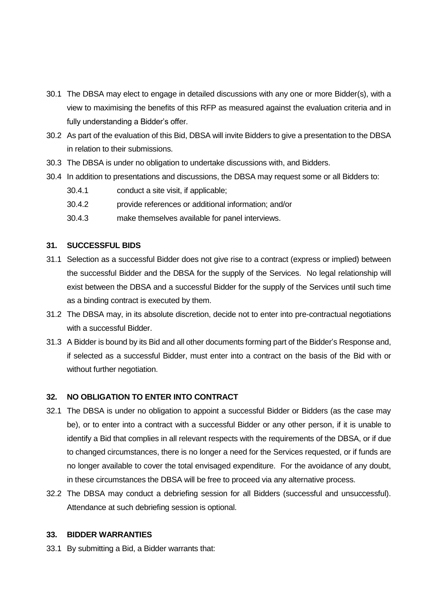- 30.1 The DBSA may elect to engage in detailed discussions with any one or more Bidder(s), with a view to maximising the benefits of this RFP as measured against the evaluation criteria and in fully understanding a Bidder's offer.
- 30.2 As part of the evaluation of this Bid, DBSA will invite Bidders to give a presentation to the DBSA in relation to their submissions.
- 30.3 The DBSA is under no obligation to undertake discussions with, and Bidders.
- 30.4 In addition to presentations and discussions, the DBSA may request some or all Bidders to:
	- 30.4.1 conduct a site visit, if applicable;
	- 30.4.2 provide references or additional information; and/or
	- 30.4.3 make themselves available for panel interviews.

#### **31. SUCCESSFUL BIDS**

- 31.1 Selection as a successful Bidder does not give rise to a contract (express or implied) between the successful Bidder and the DBSA for the supply of the Services. No legal relationship will exist between the DBSA and a successful Bidder for the supply of the Services until such time as a binding contract is executed by them.
- 31.2 The DBSA may, in its absolute discretion, decide not to enter into pre-contractual negotiations with a successful Bidder.
- 31.3 A Bidder is bound by its Bid and all other documents forming part of the Bidder's Response and, if selected as a successful Bidder, must enter into a contract on the basis of the Bid with or without further negotiation.

#### **32. NO OBLIGATION TO ENTER INTO CONTRACT**

- 32.1 The DBSA is under no obligation to appoint a successful Bidder or Bidders (as the case may be), or to enter into a contract with a successful Bidder or any other person, if it is unable to identify a Bid that complies in all relevant respects with the requirements of the DBSA, or if due to changed circumstances, there is no longer a need for the Services requested, or if funds are no longer available to cover the total envisaged expenditure. For the avoidance of any doubt, in these circumstances the DBSA will be free to proceed via any alternative process.
- 32.2 The DBSA may conduct a debriefing session for all Bidders (successful and unsuccessful). Attendance at such debriefing session is optional.

#### **33. BIDDER WARRANTIES**

33.1 By submitting a Bid, a Bidder warrants that: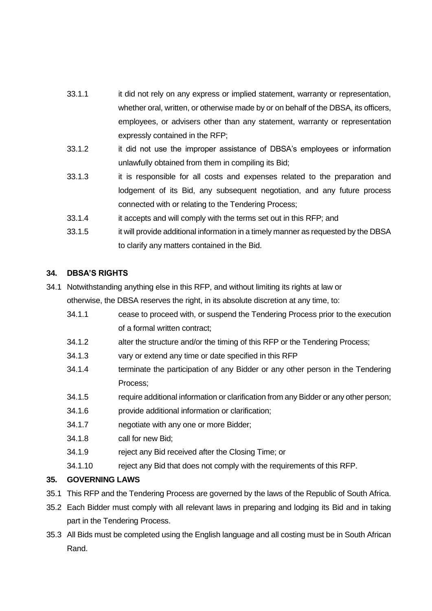- 33.1.1 it did not rely on any express or implied statement, warranty or representation, whether oral, written, or otherwise made by or on behalf of the DBSA, its officers, employees, or advisers other than any statement, warranty or representation expressly contained in the RFP;
- 33.1.2 it did not use the improper assistance of DBSA's employees or information unlawfully obtained from them in compiling its Bid;
- 33.1.3 it is responsible for all costs and expenses related to the preparation and lodgement of its Bid, any subsequent negotiation, and any future process connected with or relating to the Tendering Process;
- 33.1.4 it accepts and will comply with the terms set out in this RFP; and
- 33.1.5 it will provide additional information in a timely manner as requested by the DBSA to clarify any matters contained in the Bid.

### **34. DBSA'S RIGHTS**

- 34.1 Notwithstanding anything else in this RFP, and without limiting its rights at law or otherwise, the DBSA reserves the right, in its absolute discretion at any time, to:
	- 34.1.1 cease to proceed with, or suspend the Tendering Process prior to the execution of a formal written contract;
	- 34.1.2 alter the structure and/or the timing of this RFP or the Tendering Process;
	- 34.1.3 vary or extend any time or date specified in this RFP
	- 34.1.4 terminate the participation of any Bidder or any other person in the Tendering Process;
	- 34.1.5 require additional information or clarification from any Bidder or any other person;
	- 34.1.6 provide additional information or clarification;
	- 34.1.7 negotiate with any one or more Bidder;
	- 34.1.8 call for new Bid;
	- 34.1.9 reject any Bid received after the Closing Time; or
	- 34.1.10 reject any Bid that does not comply with the requirements of this RFP.

#### **35. GOVERNING LAWS**

- 35.1 This RFP and the Tendering Process are governed by the laws of the Republic of South Africa.
- 35.2 Each Bidder must comply with all relevant laws in preparing and lodging its Bid and in taking part in the Tendering Process.
- 35.3 All Bids must be completed using the English language and all costing must be in South African Rand.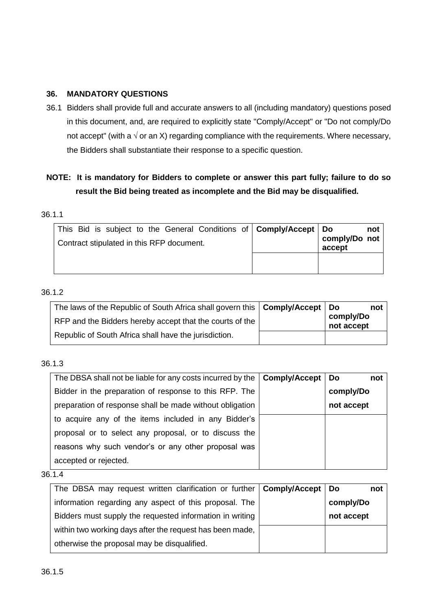#### **36. MANDATORY QUESTIONS**

36.1 Bidders shall provide full and accurate answers to all (including mandatory) questions posed in this document, and, are required to explicitly state "Comply/Accept" or "Do not comply/Do not accept" (with a  $\sqrt{ }$  or an X) regarding compliance with the requirements. Where necessary, the Bidders shall substantiate their response to a specific question.

# **NOTE: It is mandatory for Bidders to complete or answer this part fully; failure to do so result the Bid being treated as incomplete and the Bid may be disqualified.**

#### 36.1.1

| This Bid is subject to the General Conditions of   Comply/Accept   Do<br>Contract stipulated in this RFP document. | not<br>comply/Do not<br>accept |
|--------------------------------------------------------------------------------------------------------------------|--------------------------------|
|                                                                                                                    |                                |

### 36.1.2

| The laws of the Republic of South Africa shall govern this   Comply/Accept   Do | not                     |
|---------------------------------------------------------------------------------|-------------------------|
| RFP and the Bidders hereby accept that the courts of the                        | comply/Do<br>not accept |
| Republic of South Africa shall have the jurisdiction.                           |                         |

#### 36.1.3

| The DBSA shall not be liable for any costs incurred by the $\vert$ Comply/Accept $\vert$ Do | not        |
|---------------------------------------------------------------------------------------------|------------|
| Bidder in the preparation of response to this RFP. The                                      | comply/Do  |
| preparation of response shall be made without obligation                                    | not accept |
| to acquire any of the items included in any Bidder's                                        |            |
| proposal or to select any proposal, or to discuss the                                       |            |
| reasons why such vendor's or any other proposal was                                         |            |
| accepted or rejected.                                                                       |            |

| The DBSA may request written clarification or further   Comply/Accept   Do | not        |
|----------------------------------------------------------------------------|------------|
| information regarding any aspect of this proposal. The                     | comply/Do  |
| Bidders must supply the requested information in writing                   | not accept |
| within two working days after the request has been made,                   |            |
| otherwise the proposal may be disqualified.                                |            |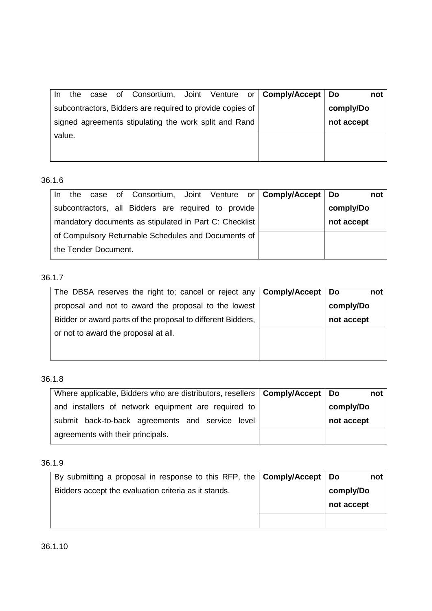| case of Consortium, Joint Venture or <b>Comply/Accept</b> Do<br>the<br>In. | not        |
|----------------------------------------------------------------------------|------------|
| subcontractors, Bidders are required to provide copies of                  | comply/Do  |
| signed agreements stipulating the work split and Rand                      | not accept |
| value.                                                                     |            |
|                                                                            |            |

| In. | the |                      |                                                        |  | case of Consortium, Joint Venture or <b>Comply/Accept</b> Do |            | not |
|-----|-----|----------------------|--------------------------------------------------------|--|--------------------------------------------------------------|------------|-----|
|     |     |                      | subcontractors, all Bidders are required to provide    |  |                                                              | comply/Do  |     |
|     |     |                      | mandatory documents as stipulated in Part C: Checklist |  |                                                              | not accept |     |
|     |     |                      | of Compulsory Returnable Schedules and Documents of    |  |                                                              |            |     |
|     |     | the Tender Document. |                                                        |  |                                                              |            |     |

# 36.1.7

| The DBSA reserves the right to; cancel or reject any   Comply/Accept | <b>Do</b><br>not |
|----------------------------------------------------------------------|------------------|
| proposal and not to award the proposal to the lowest                 | comply/Do        |
| Bidder or award parts of the proposal to different Bidders,          | not accept       |
| or not to award the proposal at all.                                 |                  |
|                                                                      |                  |
|                                                                      |                  |

# 36.1.8

| Where applicable, Bidders who are distributors, resellers   Comply/Accept   Do | not        |
|--------------------------------------------------------------------------------|------------|
| and installers of network equipment are required to                            | comply/Do  |
| submit back-to-back agreements and service level                               | not accept |
| agreements with their principals.                                              |            |

## 36.1.9

| By submitting a proposal in response to this RFP, the   Comply/Accept   Do | not        |
|----------------------------------------------------------------------------|------------|
| Bidders accept the evaluation criteria as it stands.                       | comply/Do  |
|                                                                            | not accept |
|                                                                            |            |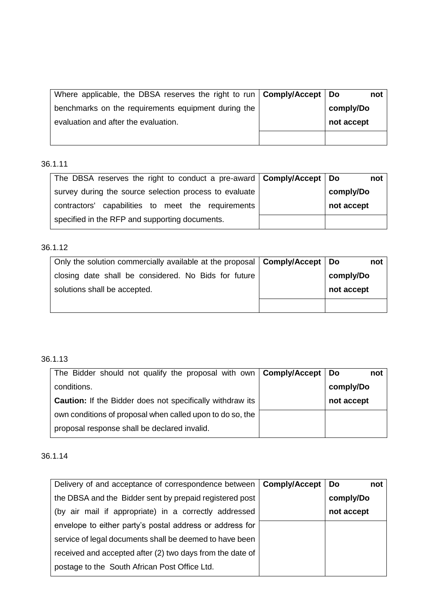| Where applicable, the DBSA reserves the right to run $\vert$ Comply/Accept $\vert$ Do | not        |
|---------------------------------------------------------------------------------------|------------|
| benchmarks on the requirements equipment during the                                   | comply/Do  |
| evaluation and after the evaluation.                                                  | not accept |
|                                                                                       |            |

| The DBSA reserves the right to conduct a pre-award   Comply/Accept   Do | not        |
|-------------------------------------------------------------------------|------------|
| survey during the source selection process to evaluate                  | comply/Do  |
| contractors' capabilities to meet the requirements                      | not accept |
| specified in the RFP and supporting documents.                          |            |

#### 36.1.12

| Only the solution commercially available at the proposal $\vert$ Comply/Accept $\vert$ Do | not        |
|-------------------------------------------------------------------------------------------|------------|
| closing date shall be considered. No Bids for future                                      | comply/Do  |
| solutions shall be accepted.                                                              | not accept |
|                                                                                           |            |

# 36.1.13

| The Bidder should not qualify the proposal with own   Comply/Accept | <b>Do</b><br>not |
|---------------------------------------------------------------------|------------------|
| conditions.                                                         | comply/Do        |
| <b>Caution:</b> If the Bidder does not specifically withdraw its    | not accept       |
| own conditions of proposal when called upon to do so, the           |                  |
| proposal response shall be declared invalid.                        |                  |

| Delivery of and acceptance of correspondence between   Comply/Accept   Do | not        |
|---------------------------------------------------------------------------|------------|
| the DBSA and the Bidder sent by prepaid registered post                   | comply/Do  |
| (by air mail if appropriate) in a correctly addressed                     | not accept |
| envelope to either party's postal address or address for                  |            |
| service of legal documents shall be deemed to have been                   |            |
| received and accepted after (2) two days from the date of                 |            |
| postage to the South African Post Office Ltd.                             |            |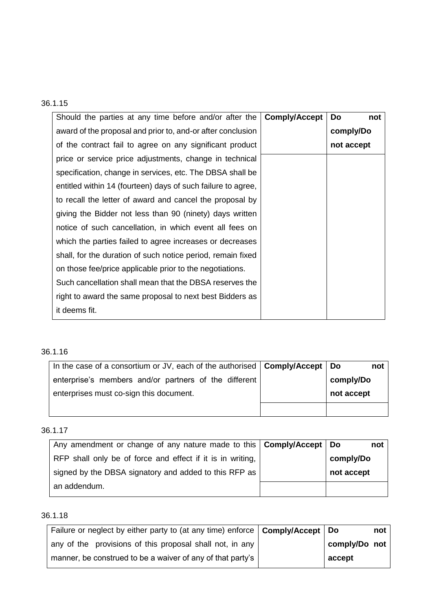| Should the parties at any time before and/or after the       | <b>Comply/Accept</b> | Do<br>not  |
|--------------------------------------------------------------|----------------------|------------|
| award of the proposal and prior to, and-or after conclusion  |                      | comply/Do  |
| of the contract fail to agree on any significant product     |                      | not accept |
| price or service price adjustments, change in technical      |                      |            |
| specification, change in services, etc. The DBSA shall be    |                      |            |
| entitled within 14 (fourteen) days of such failure to agree, |                      |            |
| to recall the letter of award and cancel the proposal by     |                      |            |
| giving the Bidder not less than 90 (ninety) days written     |                      |            |
| notice of such cancellation, in which event all fees on      |                      |            |
| which the parties failed to agree increases or decreases     |                      |            |
| shall, for the duration of such notice period, remain fixed  |                      |            |
| on those fee/price applicable prior to the negotiations.     |                      |            |
| Such cancellation shall mean that the DBSA reserves the      |                      |            |
| right to award the same proposal to next best Bidders as     |                      |            |
| it deems fit.                                                |                      |            |

#### 36.1.16

| In the case of a consortium or JV, each of the authorised $\mathsf{\vert\mathsf{Comply}(\mathsf{Accept}\mathsf{\vert\;Do}}$ | not        |  |
|-----------------------------------------------------------------------------------------------------------------------------|------------|--|
| enterprise's members and/or partners of the different                                                                       | comply/Do  |  |
| enterprises must co-sign this document.                                                                                     | not accept |  |
|                                                                                                                             |            |  |

### 36.1.17

| Any amendment or change of any nature made to this   Comply/Accept   Do | not        |
|-------------------------------------------------------------------------|------------|
| RFP shall only be of force and effect if it is in writing,              | comply/Do  |
| signed by the DBSA signatory and added to this RFP as                   | not accept |
| an addendum.                                                            |            |

| Failure or neglect by either party to (at any time) enforce   Comply/Accept   Do |               | not |
|----------------------------------------------------------------------------------|---------------|-----|
| any of the provisions of this proposal shall not, in any                         | comply/Do not |     |
| manner, be construed to be a waiver of any of that party's                       | accept        |     |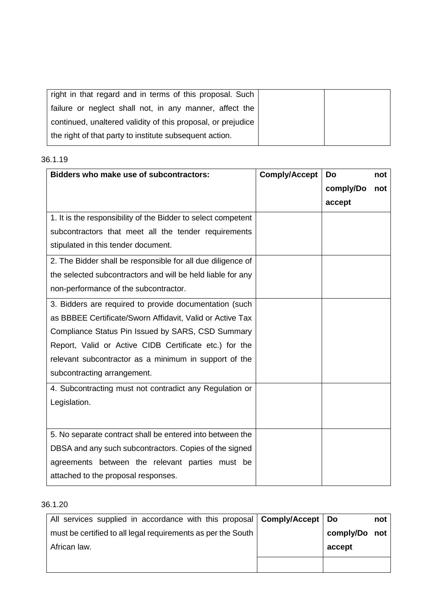| right in that regard and in terms of this proposal. Such     |  |
|--------------------------------------------------------------|--|
| failure or neglect shall not, in any manner, affect the      |  |
| continued, unaltered validity of this proposal, or prejudice |  |
| the right of that party to institute subsequent action.      |  |

| Bidders who make use of subcontractors:                       | <b>Comply/Accept</b> | Do        | not |
|---------------------------------------------------------------|----------------------|-----------|-----|
|                                                               |                      | comply/Do | not |
|                                                               |                      | accept    |     |
| 1. It is the responsibility of the Bidder to select competent |                      |           |     |
| subcontractors that meet all the tender requirements          |                      |           |     |
| stipulated in this tender document.                           |                      |           |     |
| 2. The Bidder shall be responsible for all due diligence of   |                      |           |     |
| the selected subcontractors and will be held liable for any   |                      |           |     |
| non-performance of the subcontractor.                         |                      |           |     |
| 3. Bidders are required to provide documentation (such        |                      |           |     |
| as BBBEE Certificate/Sworn Affidavit, Valid or Active Tax     |                      |           |     |
| Compliance Status Pin Issued by SARS, CSD Summary             |                      |           |     |
| Report, Valid or Active CIDB Certificate etc.) for the        |                      |           |     |
| relevant subcontractor as a minimum in support of the         |                      |           |     |
| subcontracting arrangement.                                   |                      |           |     |
| 4. Subcontracting must not contradict any Regulation or       |                      |           |     |
| Legislation.                                                  |                      |           |     |
|                                                               |                      |           |     |
| 5. No separate contract shall be entered into between the     |                      |           |     |
| DBSA and any such subcontractors. Copies of the signed        |                      |           |     |
| agreements between the relevant parties must be               |                      |           |     |
| attached to the proposal responses.                           |                      |           |     |

| All services supplied in accordance with this proposal <b>Comply/Accept</b> Do |               | not |
|--------------------------------------------------------------------------------|---------------|-----|
| must be certified to all legal requirements as per the South                   | comply/Do not |     |
| African law.                                                                   | accept        |     |
|                                                                                |               |     |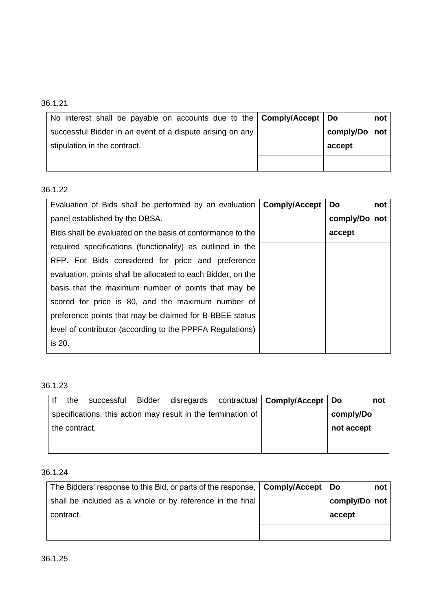| No interest shall be payable on accounts due to the   Comply/Accept   Do |               | not |
|--------------------------------------------------------------------------|---------------|-----|
| successful Bidder in an event of a dispute arising on any                | comply/Do not |     |
| stipulation in the contract.                                             | accept        |     |
|                                                                          |               |     |

# 36.1.22

| Evaluation of Bids shall be performed by an evaluation   Comply/Accept | Do<br>not     |
|------------------------------------------------------------------------|---------------|
| panel established by the DBSA.                                         | comply/Do not |
| Bids shall be evaluated on the basis of conformance to the             | accept        |
| required specifications (functionality) as outlined in the             |               |
| RFP. For Bids considered for price and preference                      |               |
| evaluation, points shall be allocated to each Bidder, on the           |               |
| basis that the maximum number of points that may be                    |               |
| scored for price is 80, and the maximum number of                      |               |
| preference points that may be claimed for B-BBEE status                |               |
| level of contributor (according to the PPPFA Regulations)              |               |
| is 20.                                                                 |               |

### 36.1.23

|               | the | successful Bidder |                                                              |            | disregards contractual   Comply/Accept   Do |           | not |
|---------------|-----|-------------------|--------------------------------------------------------------|------------|---------------------------------------------|-----------|-----|
|               |     |                   | specifications, this action may result in the termination of |            |                                             | comply/Do |     |
| the contract. |     |                   |                                                              | not accept |                                             |           |     |
|               |     |                   |                                                              |            |                                             |           |     |

| The Bidders' response to this Bid, or parts of the response, <b>Comply/Accept</b>   Do |               | not |
|----------------------------------------------------------------------------------------|---------------|-----|
| shall be included as a whole or by reference in the final                              | comply/Do not |     |
| contract.                                                                              | accept        |     |
|                                                                                        |               |     |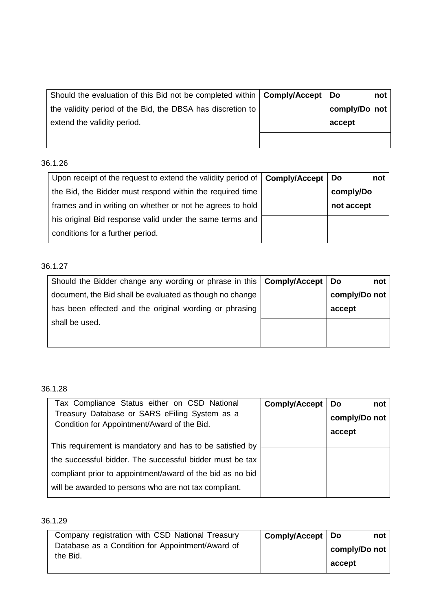| Should the evaluation of this Bid not be completed within   Comply/Accept | ∣ Do          | not |
|---------------------------------------------------------------------------|---------------|-----|
| the validity period of the Bid, the DBSA has discretion to                | comply/Do not |     |
| extend the validity period.                                               | accept        |     |
|                                                                           |               |     |

| Upon receipt of the request to extend the validity period of $\mathsf{\vert}$ Comply/Accept $\mathsf{\vert}$ Do | not        |
|-----------------------------------------------------------------------------------------------------------------|------------|
| the Bid, the Bidder must respond within the required time                                                       | comply/Do  |
| frames and in writing on whether or not he agrees to hold                                                       | not accept |
| his original Bid response valid under the same terms and                                                        |            |
| conditions for a further period.                                                                                |            |

# 36.1.27

| Should the Bidder change any wording or phrase in this   Comply/Accept   Do | not           |
|-----------------------------------------------------------------------------|---------------|
| document, the Bid shall be evaluated as though no change                    | comply/Do not |
| has been effected and the original wording or phrasing                      | accept        |
| shall be used.                                                              |               |
|                                                                             |               |

### 36.1.28

| Tax Compliance Status either on CSD National<br>Treasury Database or SARS eFiling System as a<br>Condition for Appointment/Award of the Bid. | Comply/Accept | Do<br>not<br>comply/Do not<br>accept |
|----------------------------------------------------------------------------------------------------------------------------------------------|---------------|--------------------------------------|
| This requirement is mandatory and has to be satisfied by                                                                                     |               |                                      |
| the successful bidder. The successful bidder must be tax                                                                                     |               |                                      |
| compliant prior to appointment/award of the bid as no bid                                                                                    |               |                                      |
| will be awarded to persons who are not tax compliant.                                                                                        |               |                                      |

| Company registration with CSD National Treasury              | Comply/Accept   Do | not           |
|--------------------------------------------------------------|--------------------|---------------|
| Database as a Condition for Appointment/Award of<br>the Bid. |                    | comply/Do not |
|                                                              |                    | accept        |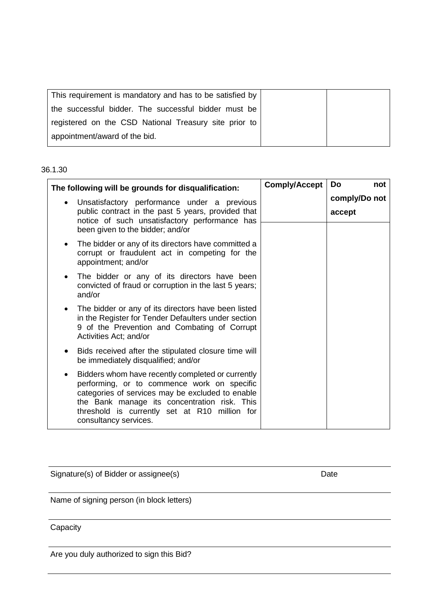| This requirement is mandatory and has to be satisfied by |  |
|----------------------------------------------------------|--|
| the successful bidder. The successful bidder must be     |  |
| registered on the CSD National Treasury site prior to    |  |
| appointment/award of the bid.                            |  |

|           | The following will be grounds for disqualification:                                                                                                                                                                                                                            |  | Comply/Accept  <br>Do<br>not |
|-----------|--------------------------------------------------------------------------------------------------------------------------------------------------------------------------------------------------------------------------------------------------------------------------------|--|------------------------------|
| $\bullet$ | Unsatisfactory performance under a previous<br>public contract in the past 5 years, provided that<br>notice of such unsatisfactory performance has<br>been given to the bidder; and/or                                                                                         |  | comply/Do not<br>accept      |
|           | The bidder or any of its directors have committed a<br>corrupt or fraudulent act in competing for the<br>appointment; and/or                                                                                                                                                   |  |                              |
| $\bullet$ | The bidder or any of its directors have been<br>convicted of fraud or corruption in the last 5 years;<br>and/or                                                                                                                                                                |  |                              |
| $\bullet$ | The bidder or any of its directors have been listed<br>in the Register for Tender Defaulters under section<br>9 of the Prevention and Combating of Corrupt<br>Activities Act; and/or                                                                                           |  |                              |
|           | Bids received after the stipulated closure time will<br>be immediately disqualified; and/or                                                                                                                                                                                    |  |                              |
| $\bullet$ | Bidders whom have recently completed or currently<br>performing, or to commence work on specific<br>categories of services may be excluded to enable<br>the Bank manage its concentration risk. This<br>threshold is currently set at R10 million for<br>consultancy services. |  |                              |

Signature(s) of Bidder or assignee(s) example the control of Date Date

Name of signing person (in block letters)

**Capacity** 

Are you duly authorized to sign this Bid?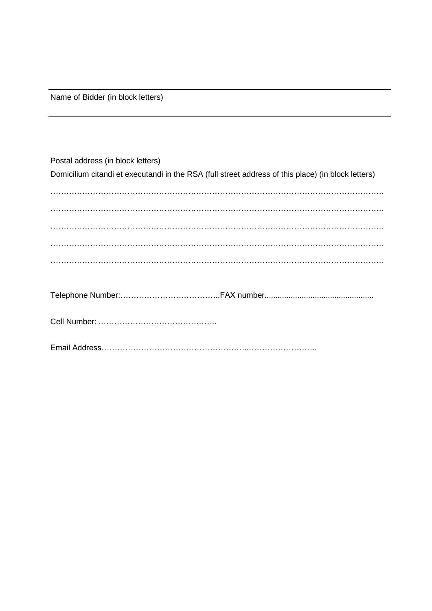Name of Bidder (in block letters)

<span id="page-34-0"></span>

| Postal address (in block letters)                                                                  |
|----------------------------------------------------------------------------------------------------|
| Domicilium citandi et executandi in the RSA (full street address of this place) (in block letters) |
|                                                                                                    |
|                                                                                                    |
|                                                                                                    |
|                                                                                                    |
|                                                                                                    |
|                                                                                                    |
|                                                                                                    |
|                                                                                                    |
|                                                                                                    |
|                                                                                                    |
|                                                                                                    |
|                                                                                                    |
|                                                                                                    |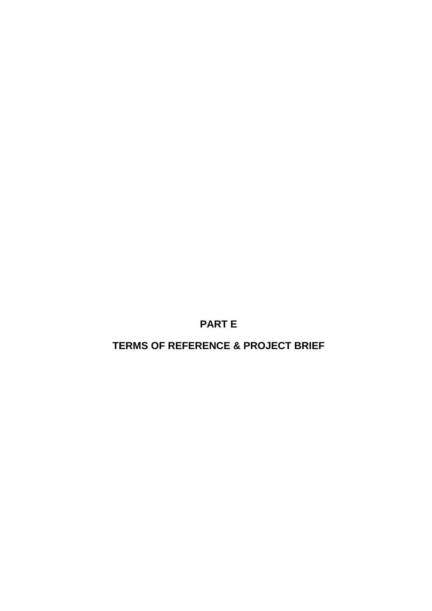**PART E**

**TERMS OF REFERENCE & PROJECT BRIEF**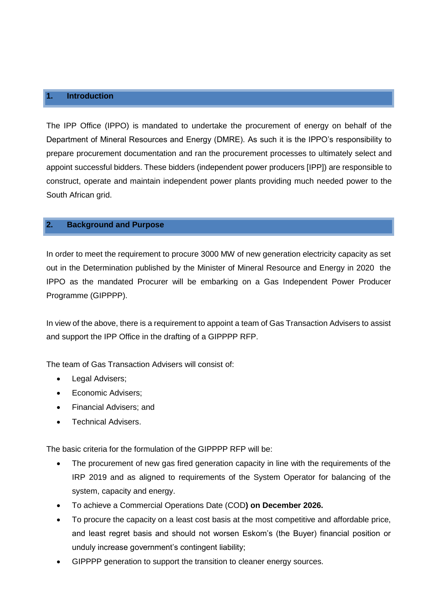#### <span id="page-36-0"></span>**1. Introduction**

The IPP Office (IPPO) is mandated to undertake the procurement of energy on behalf of the Department of Mineral Resources and Energy (DMRE). As such it is the IPPO's responsibility to prepare procurement documentation and ran the procurement processes to ultimately select and appoint successful bidders. These bidders (independent power producers [IPP]) are responsible to construct, operate and maintain independent power plants providing much needed power to the South African grid.

#### **2. Background and Purpose**

In order to meet the requirement to procure 3000 MW of new generation electricity capacity as set out in the Determination published by the Minister of Mineral Resource and Energy in 2020 the IPPO as the mandated Procurer will be embarking on a Gas Independent Power Producer Programme (GIPPPP).

In view of the above, there is a requirement to appoint a team of Gas Transaction Advisers to assist and support the IPP Office in the drafting of a GIPPPP RFP.

The team of Gas Transaction Advisers will consist of:

- Legal Advisers;
- Economic Advisers;
- Financial Advisers; and
- Technical Advisers.

The basic criteria for the formulation of the GIPPPP RFP will be:

- The procurement of new gas fired generation capacity in line with the requirements of the IRP 2019 and as aligned to requirements of the System Operator for balancing of the system, capacity and energy.
- To achieve a Commercial Operations Date (COD**) on December 2026.**
- To procure the capacity on a least cost basis at the most competitive and affordable price, and least regret basis and should not worsen Eskom's (the Buyer) financial position or unduly increase government's contingent liability;
- GIPPPP generation to support the transition to cleaner energy sources.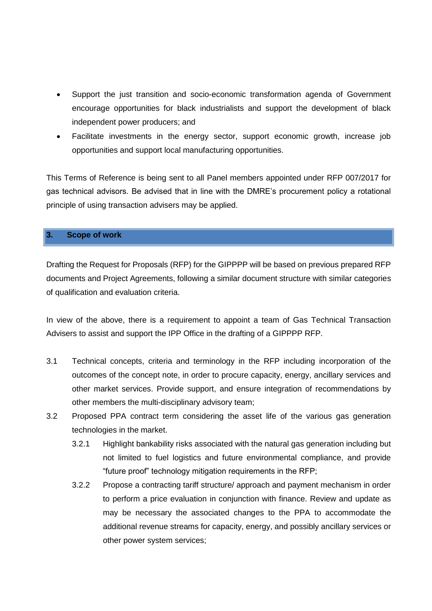- Support the just transition and socio-economic transformation agenda of Government encourage opportunities for black industrialists and support the development of black independent power producers; and
- Facilitate investments in the energy sector, support economic growth, increase job opportunities and support local manufacturing opportunities.

This Terms of Reference is being sent to all Panel members appointed under RFP 007/2017 for gas technical advisors. Be advised that in line with the DMRE's procurement policy a rotational principle of using transaction advisers may be applied.

#### **3. Scope of work**

Drafting the Request for Proposals (RFP) for the GIPPPP will be based on previous prepared RFP documents and Project Agreements, following a similar document structure with similar categories of qualification and evaluation criteria.

In view of the above, there is a requirement to appoint a team of Gas Technical Transaction Advisers to assist and support the IPP Office in the drafting of a GIPPPP RFP.

- 3.1 Technical concepts, criteria and terminology in the RFP including incorporation of the outcomes of the concept note, in order to procure capacity, energy, ancillary services and other market services. Provide support, and ensure integration of recommendations by other members the multi-disciplinary advisory team;
- 3.2 Proposed PPA contract term considering the asset life of the various gas generation technologies in the market.
	- 3.2.1 Highlight bankability risks associated with the natural gas generation including but not limited to fuel logistics and future environmental compliance, and provide "future proof" technology mitigation requirements in the RFP;
	- 3.2.2 Propose a contracting tariff structure/ approach and payment mechanism in order to perform a price evaluation in conjunction with finance. Review and update as may be necessary the associated changes to the PPA to accommodate the additional revenue streams for capacity, energy, and possibly ancillary services or other power system services;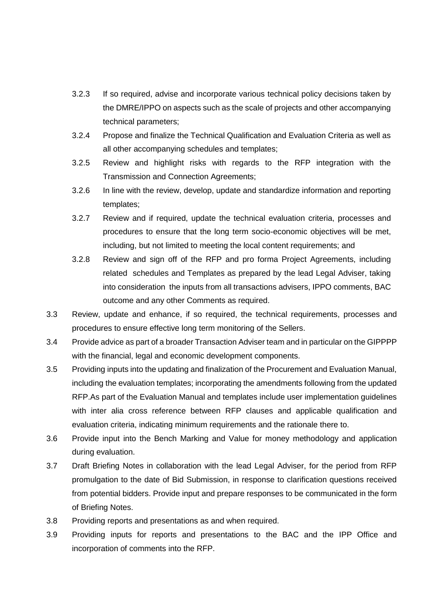- 3.2.3 If so required, advise and incorporate various technical policy decisions taken by the DMRE/IPPO on aspects such as the scale of projects and other accompanying technical parameters;
- 3.2.4 Propose and finalize the Technical Qualification and Evaluation Criteria as well as all other accompanying schedules and templates;
- 3.2.5 Review and highlight risks with regards to the RFP integration with the Transmission and Connection Agreements;
- 3.2.6 In line with the review, develop, update and standardize information and reporting templates;
- 3.2.7 Review and if required, update the technical evaluation criteria, processes and procedures to ensure that the long term socio-economic objectives will be met, including, but not limited to meeting the local content requirements; and
- 3.2.8 Review and sign off of the RFP and pro forma Project Agreements, including related schedules and Templates as prepared by the lead Legal Adviser, taking into consideration the inputs from all transactions advisers, IPPO comments, BAC outcome and any other Comments as required.
- 3.3 Review, update and enhance, if so required, the technical requirements, processes and procedures to ensure effective long term monitoring of the Sellers.
- 3.4 Provide advice as part of a broader Transaction Adviser team and in particular on the GIPPPP with the financial, legal and economic development components.
- 3.5 Providing inputs into the updating and finalization of the Procurement and Evaluation Manual, including the evaluation templates; incorporating the amendments following from the updated RFP.As part of the Evaluation Manual and templates include user implementation guidelines with inter alia cross reference between RFP clauses and applicable qualification and evaluation criteria, indicating minimum requirements and the rationale there to.
- 3.6 Provide input into the Bench Marking and Value for money methodology and application during evaluation.
- 3.7 Draft Briefing Notes in collaboration with the lead Legal Adviser, for the period from RFP promulgation to the date of Bid Submission, in response to clarification questions received from potential bidders. Provide input and prepare responses to be communicated in the form of Briefing Notes.
- 3.8 Providing reports and presentations as and when required.
- 3.9 Providing inputs for reports and presentations to the BAC and the IPP Office and incorporation of comments into the RFP.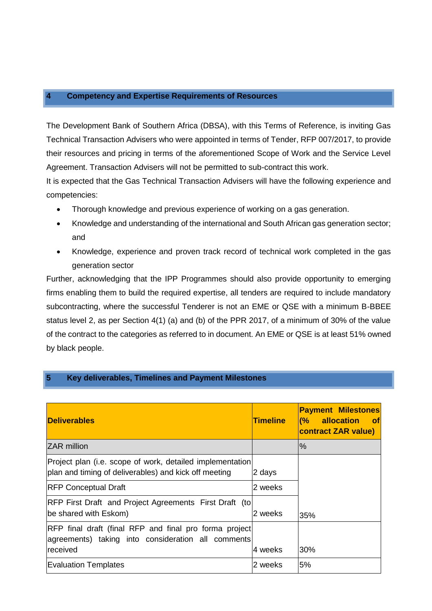#### **4 Competency and Expertise Requirements of Resources**

The Development Bank of Southern Africa (DBSA), with this Terms of Reference, is inviting Gas Technical Transaction Advisers who were appointed in terms of Tender, RFP 007/2017, to provide their resources and pricing in terms of the aforementioned Scope of Work and the Service Level Agreement. Transaction Advisers will not be permitted to sub-contract this work.

It is expected that the Gas Technical Transaction Advisers will have the following experience and competencies:

- Thorough knowledge and previous experience of working on a gas generation.
- Knowledge and understanding of the international and South African gas generation sector; and
- Knowledge, experience and proven track record of technical work completed in the gas generation sector

Further, acknowledging that the IPP Programmes should also provide opportunity to emerging firms enabling them to build the required expertise, all tenders are required to include mandatory subcontracting, where the successful Tenderer is not an EME or QSE with a minimum B-BBEE status level 2, as per Section 4(1) (a) and (b) of the PPR 2017, of a minimum of 30% of the value of the contract to the categories as referred to in document. An EME or QSE is at least 51% owned by black people.

#### **5 Key deliverables, Timelines and Payment Milestones**

| <b>Deliverables</b>                                                                                                | <b>Timeline</b> | <b>Payment Milestones</b><br>allocation<br>$\sqrt{6}$<br><b>of</b><br><b>contract ZAR value)</b> |
|--------------------------------------------------------------------------------------------------------------------|-----------------|--------------------------------------------------------------------------------------------------|
| <b>ZAR</b> million                                                                                                 |                 | $\frac{9}{6}$                                                                                    |
| Project plan (i.e. scope of work, detailed implementation<br>plan and timing of deliverables) and kick off meeting | 2 days          |                                                                                                  |
| <b>RFP Conceptual Draft</b>                                                                                        | 2 weeks         |                                                                                                  |
| RFP First Draft and Project Agreements First Draft (to)<br>be shared with Eskom)                                   | 2 weeks         | 35%                                                                                              |
| RFP final draft (final RFP and final pro forma project<br>agreements) taking into consideration all comments       |                 |                                                                                                  |
| received                                                                                                           | 4 weeks         | 30%                                                                                              |
| <b>Evaluation Templates</b>                                                                                        | 2 weeks         | 5%                                                                                               |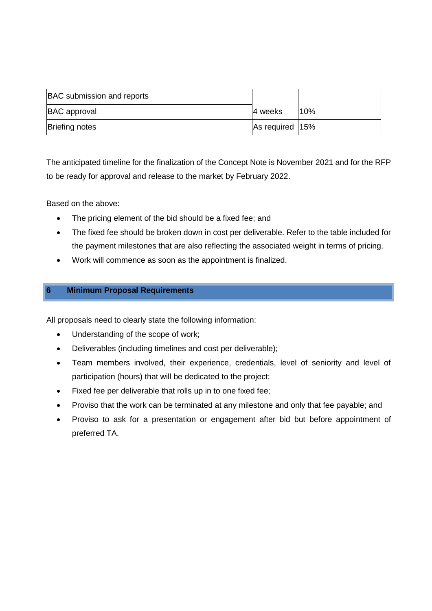| <b>BAC</b> submission and reports |                 |     |
|-----------------------------------|-----------------|-----|
| <b>BAC</b> approval               | 4 weeks         | 10% |
| <b>Briefing notes</b>             | As required 15% |     |

The anticipated timeline for the finalization of the Concept Note is November 2021 and for the RFP to be ready for approval and release to the market by February 2022.

Based on the above:

- The pricing element of the bid should be a fixed fee; and
- The fixed fee should be broken down in cost per deliverable. Refer to the table included for the payment milestones that are also reflecting the associated weight in terms of pricing.
- Work will commence as soon as the appointment is finalized.

#### **6 Minimum Proposal Requirements**

All proposals need to clearly state the following information:

- Understanding of the scope of work;
- Deliverables (including timelines and cost per deliverable);
- Team members involved, their experience, credentials, level of seniority and level of participation (hours) that will be dedicated to the project;
- Fixed fee per deliverable that rolls up in to one fixed fee;
- Proviso that the work can be terminated at any milestone and only that fee payable; and
- Proviso to ask for a presentation or engagement after bid but before appointment of preferred TA.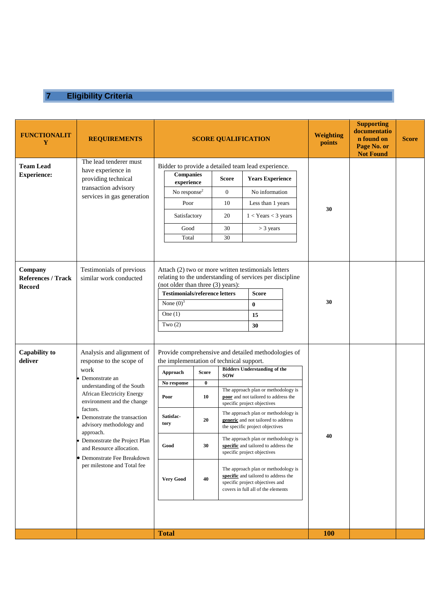# **7 Eligibility Criteria**

| <b>FUNCTIONALIT</b><br>Y                              | <b>REQUIREMENTS</b>                                                                                                                                                                                                                                                                                                                                                                              | <b>SCORE QUALIFICATION</b>                                                                                                                                                                                                                                                      |                                               |                                                                                                                                                                                                                                                                                                                                                                                                                                                                                                                                                                                                 | <b>Weighting</b><br>points | <b>Supporting</b><br>documentatio<br>n found on<br>Page No. or<br><b>Not Found</b> | <b>Score</b> |
|-------------------------------------------------------|--------------------------------------------------------------------------------------------------------------------------------------------------------------------------------------------------------------------------------------------------------------------------------------------------------------------------------------------------------------------------------------------------|---------------------------------------------------------------------------------------------------------------------------------------------------------------------------------------------------------------------------------------------------------------------------------|-----------------------------------------------|-------------------------------------------------------------------------------------------------------------------------------------------------------------------------------------------------------------------------------------------------------------------------------------------------------------------------------------------------------------------------------------------------------------------------------------------------------------------------------------------------------------------------------------------------------------------------------------------------|----------------------------|------------------------------------------------------------------------------------|--------------|
| <b>Team Lead</b><br><b>Experience:</b>                | The lead tenderer must<br>have experience in<br>providing technical<br>transaction advisory<br>services in gas generation                                                                                                                                                                                                                                                                        | Bidder to provide a detailed team lead experience.<br><b>Companies</b><br>$\tt{experience}$<br>No response <sup>2</sup><br>Poor<br>Satisfactory<br>Good<br>Total                                                                                                                | Score<br>$\mathbf{0}$<br>10<br>20<br>30<br>30 | <b>Years Experience</b><br>No information<br>Less than 1 years<br>$1 <$ Years $<$ 3 years<br>$>$ 3 years                                                                                                                                                                                                                                                                                                                                                                                                                                                                                        | 30                         |                                                                                    |              |
| Company<br><b>References / Track</b><br><b>Record</b> | Testimonials of previous<br>similar work conducted                                                                                                                                                                                                                                                                                                                                               | Attach (2) two or more written testimonials letters<br>relating to the understanding of services per discipline<br>(not older than three (3) years):<br><b>Testimonials/reference letters</b><br><b>Score</b><br>None $(0)^3$<br>$\bf{0}$<br>One $(1)$<br>15<br>Two $(2)$<br>30 |                                               |                                                                                                                                                                                                                                                                                                                                                                                                                                                                                                                                                                                                 | 30                         |                                                                                    |              |
| <b>Capability to</b><br>deliver                       | Analysis and alignment of<br>response to the scope of<br>work<br>Demonstrate an<br>understanding of the South<br><b>African Electricity Energy</b><br>environment and the change<br>factors.<br>Demonstrate the transaction<br>advisory methodology and<br>approach.<br>• Demonstrate the Project Plan<br>and Resource allocation.<br>• Demonstrate Fee Breakdown<br>per milestone and Total fee | the implementation of technical support.<br><b>Score</b><br>Approach<br>$\bf{0}$<br>No response<br>10<br>Poor<br>Satisfac-<br>20<br>tory<br>Good<br>30<br><b>Very Good</b><br>40<br><b>Total</b>                                                                                | <b>SOW</b>                                    | Provide comprehensive and detailed methodologies of<br><b>Bidders Understanding of the</b><br>The approach plan or methodology is<br>poor and not tailored to address the<br>specific project objectives<br>The approach plan or methodology is<br>generic and not tailored to address<br>the specific project objectives<br>The approach plan or methodology is<br>specific and tailored to address the<br>specific project objectives<br>The approach plan or methodology is<br>specific and tailored to address the<br>specific project objectives and<br>covers in full all of the elements | 40<br><b>100</b>           |                                                                                    |              |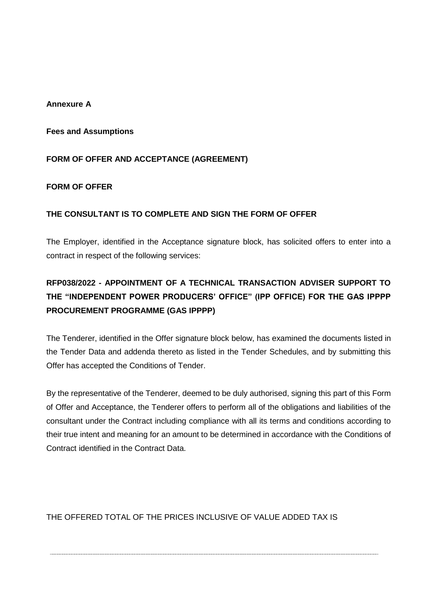#### **Annexure A**

#### **Fees and Assumptions**

#### **FORM OF OFFER AND ACCEPTANCE (AGREEMENT)**

#### **FORM OF OFFER**

#### **THE CONSULTANT IS TO COMPLETE AND SIGN THE FORM OF OFFER**

The Employer, identified in the Acceptance signature block, has solicited offers to enter into a contract in respect of the following services:

# **RFP038/2022 - APPOINTMENT OF A TECHNICAL TRANSACTION ADVISER SUPPORT TO THE "INDEPENDENT POWER PRODUCERS' OFFICE" (IPP OFFICE) FOR THE GAS IPPPP PROCUREMENT PROGRAMME (GAS IPPPP)**

The Tenderer, identified in the Offer signature block below, has examined the documents listed in the Tender Data and addenda thereto as listed in the Tender Schedules, and by submitting this Offer has accepted the Conditions of Tender.

By the representative of the Tenderer, deemed to be duly authorised, signing this part of this Form of Offer and Acceptance, the Tenderer offers to perform all of the obligations and liabilities of the consultant under the Contract including compliance with all its terms and conditions according to their true intent and meaning for an amount to be determined in accordance with the Conditions of Contract identified in the Contract Data.

THE OFFERED TOTAL OF THE PRICES INCLUSIVE OF VALUE ADDED TAX IS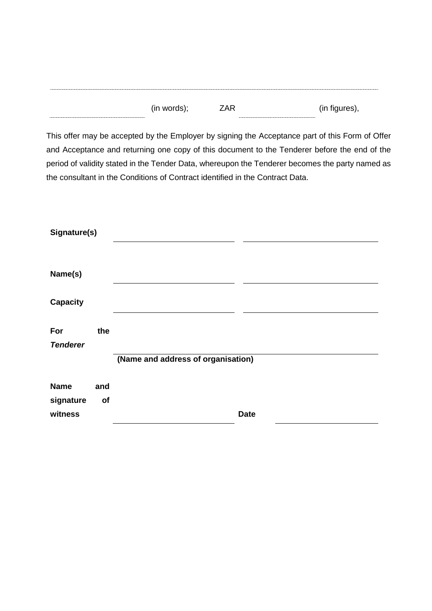| <br>(in words | ∕ ∧ I ™<br>. .<br>$\mathbf{u}$<br>-- | (in<br>.<br>figures),<br>$\cdot$<br>ີ |
|---------------|--------------------------------------|---------------------------------------|
|               |                                      |                                       |

This offer may be accepted by the Employer by signing the Acceptance part of this Form of Offer and Acceptance and returning one copy of this document to the Tenderer before the end of the period of validity stated in the Tender Data, whereupon the Tenderer becomes the party named as the consultant in the Conditions of Contract identified in the Contract Data.

| Signature(s)             |           |                                    |             |
|--------------------------|-----------|------------------------------------|-------------|
|                          |           |                                    |             |
| Name(s)                  |           |                                    |             |
| <b>Capacity</b>          |           |                                    |             |
| For<br><b>Tenderer</b>   | the       |                                    |             |
|                          |           | (Name and address of organisation) |             |
| <b>Name</b><br>signature | and<br>of |                                    |             |
| witness                  |           |                                    | <b>Date</b> |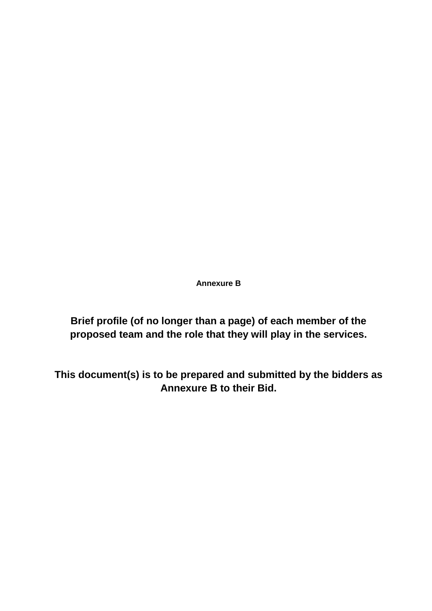**Annexure B**

**Brief profile (of no longer than a page) of each member of the proposed team and the role that they will play in the services.**

<span id="page-44-0"></span>**This document(s) is to be prepared and submitted by the bidders as Annexure B to their Bid.**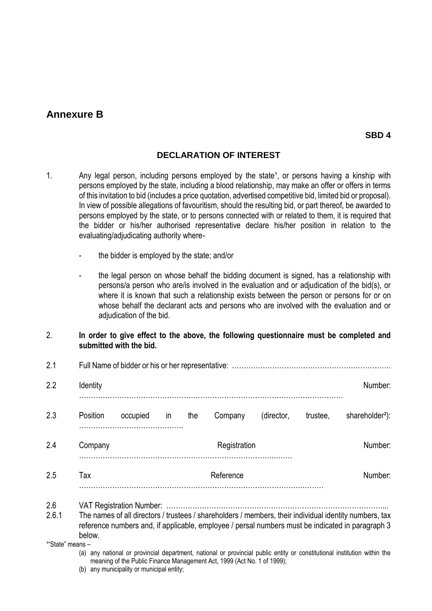# **Annexure B**

### **DECLARATION OF INTEREST**

- 1. Any legal person, including persons employed by the state<sup>1</sup>, or persons having a kinship with persons employed by the state, including a blood relationship, may make an offer or offers in terms of this invitation to bid (includes a price quotation, advertised competitive bid, limited bid or proposal). In view of possible allegations of favouritism, should the resulting bid, or part thereof, be awarded to persons employed by the state, or to persons connected with or related to them, it is required that the bidder or his/her authorised representative declare his/her position in relation to the evaluating/adjudicating authority where
	- the bidder is employed by the state; and/or
	- the legal person on whose behalf the bidding document is signed, has a relationship with persons/a person who are/is involved in the evaluation and or adjudication of the bid(s), or where it is known that such a relationship exists between the person or persons for or on whose behalf the declarant acts and persons who are involved with the evaluation and or adjudication of the bid.
- 2. **In order to give effect to the above, the following questionnaire must be completed and submitted with the bid.**
- 2.1 Full Name of bidder or his or her representative: …………………………………………………………. 2.2 Identity **Number:**  $\blacksquare$ ………………………………………………………………………………………………… 2.3 Position occupied in the Company (director, trustee, shareholder<sup>2</sup>): …………………………………….. 2.4 Company **Company Company** Company Registration Registration Company Registration ………………………………………………………………………..……. 2.5 Tax **Tax** Reference Reference ………………………………………………………………………………….……… 2.6 VAT Registration Number: ……………………………………………………………………………….... 2.6.1 The names of all directors / trustees / shareholders / members, their individual identity numbers, tax reference numbers and, if applicable, employee / persal numbers must be indicated in paragraph 3 below. <sup>1</sup>"State" means - (a) any national or provincial department, national or provincial public entity or constitutional institution within the meaning of the Public Finance Management Act, 1999 (Act No. 1 of 1999);

(b) any municipality or municipal entity;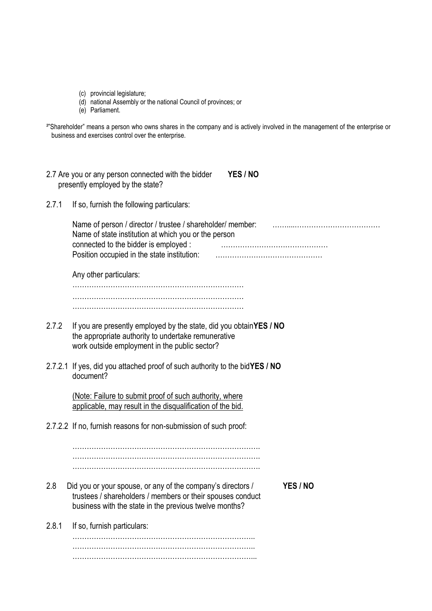- (c) provincial legislature;
- (d) national Assembly or the national Council of provinces; or
- (e) Parliament.

|                                                     | <sup>2</sup> "Shareholder" means a person who owns shares in the company and is actively involved in the management of the enterprise or |  |
|-----------------------------------------------------|------------------------------------------------------------------------------------------------------------------------------------------|--|
| business and exercises control over the enterprise. |                                                                                                                                          |  |

- 2.7 Are you or any person connected with the bidder **YES / NO** presently employed by the state?
- 2.7.1 If so, furnish the following particulars:

| Name of person / director / trustee / shareholder/ member: |  |
|------------------------------------------------------------|--|
| Name of state institution at which you or the person       |  |
| connected to the bidder is employed :                      |  |
|                                                            |  |

Any other particulars:

……………………………………………………………… ……………………………………………………………… ………………………………………………………………

- 2.7.2 If you are presently employed by the state, did you obtain**YES / NO** the appropriate authority to undertake remunerative work outside employment in the public sector?
- 2.7.2.1 If yes, did you attached proof of such authority to the bid**YES / NO** document?

(Note: Failure to submit proof of such authority, where applicable, may result in the disqualification of the bid.

2.7.2.2 If no, furnish reasons for non-submission of such proof:

……………………………………………………………………. ……………………………………………………………………. …………………………………………………………………….

- 2.8 Did you or your spouse, or any of the company's directors / **YES / NO** trustees / shareholders / members or their spouses conduct business with the state in the previous twelve months?
- 2.8.1 If so, furnish particulars:

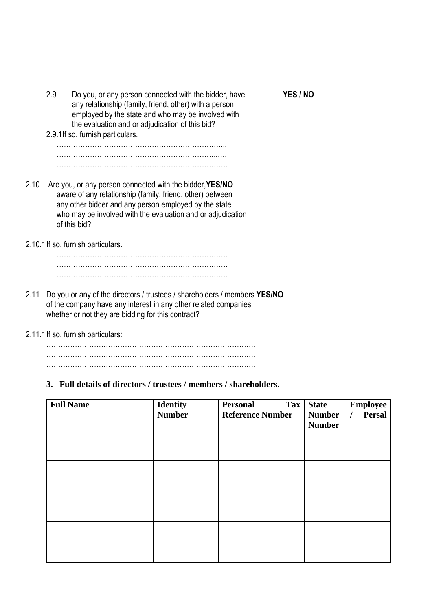|      | 2.9 | Do you, or any person connected with the bidder, have<br>any relationship (family, friend, other) with a person<br>employed by the state and who may be involved with<br>the evaluation and or adjudication of this bid?                                      | YES / NO |
|------|-----|---------------------------------------------------------------------------------------------------------------------------------------------------------------------------------------------------------------------------------------------------------------|----------|
|      |     | 2.9.1If so, furnish particulars.                                                                                                                                                                                                                              |          |
|      |     |                                                                                                                                                                                                                                                               |          |
|      |     |                                                                                                                                                                                                                                                               |          |
| 2.10 |     | Are you, or any person connected with the bidder, YES/NO<br>aware of any relationship (family, friend, other) between<br>any other bidder and any person employed by the state<br>who may be involved with the evaluation and or adjudication<br>of this bid? |          |
|      |     | 2.10.1 If so, furnish particulars.                                                                                                                                                                                                                            |          |
|      |     |                                                                                                                                                                                                                                                               |          |
|      |     |                                                                                                                                                                                                                                                               |          |
| 2.11 |     | Do you or any of the directors / trustees / shareholders / members YES/NO<br>of the company have any interest in any other related companies<br>whether or not they are bidding for this contract?                                                            |          |
|      |     |                                                                                                                                                                                                                                                               |          |

2.11.1If so, furnish particulars:

……………………………………………………………………………. ……………………………………………………………………………. …………………………………………………………………………….

#### **3. Full details of directors / trustees / members / shareholders.**

| <b>Full Name</b> | <b>Identity</b><br><b>Number</b> | <b>Personal</b><br><b>Tax</b><br><b>Reference Number</b> | <b>Employee</b><br><b>State</b><br>Persal<br><b>Number</b><br>$\prime$<br><b>Number</b> |
|------------------|----------------------------------|----------------------------------------------------------|-----------------------------------------------------------------------------------------|
|                  |                                  |                                                          |                                                                                         |
|                  |                                  |                                                          |                                                                                         |
|                  |                                  |                                                          |                                                                                         |
|                  |                                  |                                                          |                                                                                         |
|                  |                                  |                                                          |                                                                                         |
|                  |                                  |                                                          |                                                                                         |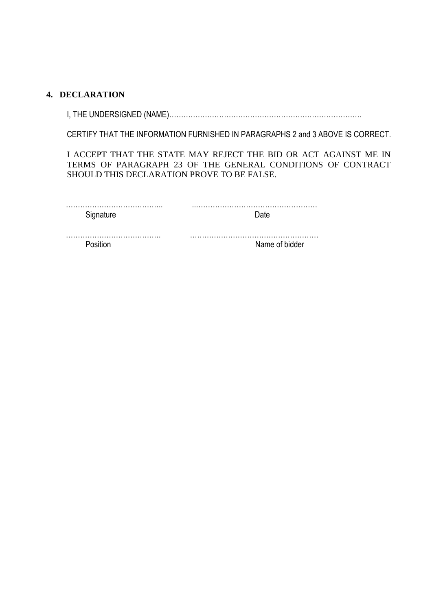#### **4. DECLARATION**

I, THE UNDERSIGNED (NAME)………………………………………………………………………

CERTIFY THAT THE INFORMATION FURNISHED IN PARAGRAPHS 2 and 3 ABOVE IS CORRECT.

I ACCEPT THAT THE STATE MAY REJECT THE BID OR ACT AGAINST ME IN TERMS OF PARAGRAPH 23 OF THE GENERAL CONDITIONS OF CONTRACT SHOULD THIS DECLARATION PROVE TO BE FALSE.

| Signature | )ate           |
|-----------|----------------|
|           |                |
| Position  | Name of bidder |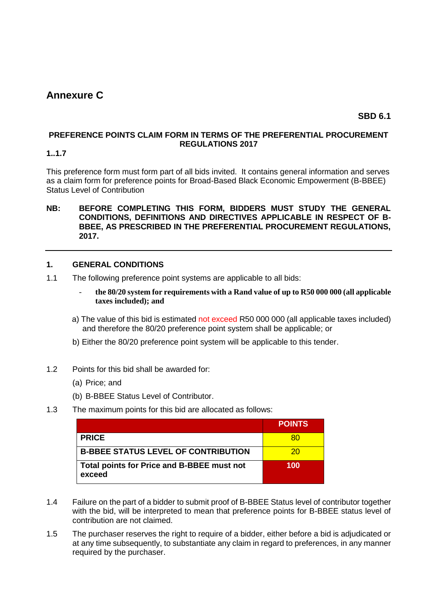# <span id="page-49-0"></span>**Annexure C**

### **SBD 6.1**

#### **PREFERENCE POINTS CLAIM FORM IN TERMS OF THE PREFERENTIAL PROCUREMENT REGULATIONS 2017**

#### **1..1.7**

This preference form must form part of all bids invited. It contains general information and serves as a claim form for preference points for Broad-Based Black Economic Empowerment (B-BBEE) Status Level of Contribution

#### **NB: BEFORE COMPLETING THIS FORM, BIDDERS MUST STUDY THE GENERAL CONDITIONS, DEFINITIONS AND DIRECTIVES APPLICABLE IN RESPECT OF B-BBEE, AS PRESCRIBED IN THE PREFERENTIAL PROCUREMENT REGULATIONS, 2017.**

#### **1. GENERAL CONDITIONS**

- 1.1 The following preference point systems are applicable to all bids:
	- **the 80/20 system for requirements with a Rand value of up to R50 000 000 (all applicable taxes included); and**
	- a) The value of this bid is estimated not exceed R50 000 000 (all applicable taxes included) and therefore the 80/20 preference point system shall be applicable; or
	- b) Either the 80/20 preference point system will be applicable to this tender.
- 1.2 Points for this bid shall be awarded for:
	- (a) Price; and
	- (b) B-BBEE Status Level of Contributor.

#### 1.3 The maximum points for this bid are allocated as follows:

|                                                      | <b>POINTS</b> |
|------------------------------------------------------|---------------|
| <b>PRICE</b>                                         | 80            |
| <b>B-BBEE STATUS LEVEL OF CONTRIBUTION</b>           | 20            |
| Total points for Price and B-BBEE must not<br>exceed | 100           |

- 1.4 Failure on the part of a bidder to submit proof of B-BBEE Status level of contributor together with the bid, will be interpreted to mean that preference points for B-BBEE status level of contribution are not claimed.
- 1.5 The purchaser reserves the right to require of a bidder, either before a bid is adjudicated or at any time subsequently, to substantiate any claim in regard to preferences, in any manner required by the purchaser.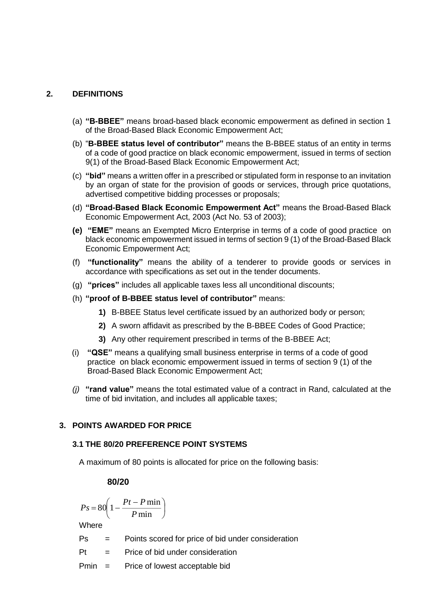#### **2. DEFINITIONS**

- (a) **"B-BBEE"** means broad-based black economic empowerment as defined in section 1 of the Broad-Based Black Economic Empowerment Act;
- (b) "**B-BBEE status level of contributor"** means the B-BBEE status of an entity in terms of a code of good practice on black economic empowerment, issued in terms of section 9(1) of the Broad-Based Black Economic Empowerment Act;
- (c) **"bid"** means a written offer in a prescribed or stipulated form in response to an invitation by an organ of state for the provision of goods or services, through price quotations, advertised competitive bidding processes or proposals;
- (d) **"Broad-Based Black Economic Empowerment Act"** means the Broad-Based Black Economic Empowerment Act, 2003 (Act No. 53 of 2003);
- **(e) "EME"** means an Exempted Micro Enterprise in terms of a code of good practice on black economic empowerment issued in terms of section 9 (1) of the Broad-Based Black Economic Empowerment Act;
- (f) **"functionality"** means the ability of a tenderer to provide goods or services in accordance with specifications as set out in the tender documents.
- (g) **"prices"** includes all applicable taxes less all unconditional discounts;
- (h) **"proof of B-BBEE status level of contributor"** means:
	- **1)** B-BBEE Status level certificate issued by an authorized body or person;
	- **2)** A sworn affidavit as prescribed by the B-BBEE Codes of Good Practice;
	- **3)** Any other requirement prescribed in terms of the B-BBEE Act;
- (i) **"QSE"** means a qualifying small business enterprise in terms of a code of good practice on black economic empowerment issued in terms of section 9 (1) of the Broad-Based Black Economic Empowerment Act;
- *(j)* **"rand value"** means the total estimated value of a contract in Rand, calculated at the time of bid invitation, and includes all applicable taxes;

#### **3. POINTS AWARDED FOR PRICE**

#### **3.1 THE 80/20 PREFERENCE POINT SYSTEMS**

A maximum of 80 points is allocated for price on the following basis:

#### **80/20**

$$
Ps = 80 \left( 1 - \frac{Pt - P \min}{P \min} \right)
$$

**Where** 

Ps = Points scored for price of bid under consideration

 $Pt =$  Price of bid under consideration

Pmin = Price of lowest acceptable bid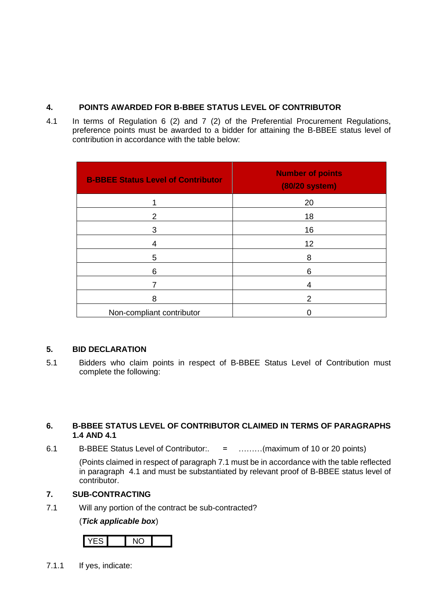#### **4. POINTS AWARDED FOR B-BBEE STATUS LEVEL OF CONTRIBUTOR**

4.1 In terms of Regulation 6 (2) and 7 (2) of the Preferential Procurement Regulations, preference points must be awarded to a bidder for attaining the B-BBEE status level of contribution in accordance with the table below:

| <b>B-BBEE Status Level of Contributor</b> | <b>Number of points</b><br>(80/20 system) |
|-------------------------------------------|-------------------------------------------|
|                                           | 20                                        |
| 2                                         | 18                                        |
| 3                                         | 16                                        |
| 4                                         | 12                                        |
| 5                                         | 8                                         |
| 6                                         | 6                                         |
|                                           |                                           |
| 8                                         | 2                                         |
| Non-compliant contributor                 |                                           |

## **5. BID DECLARATION**

5.1 Bidders who claim points in respect of B-BBEE Status Level of Contribution must complete the following:

#### **6. B-BBEE STATUS LEVEL OF CONTRIBUTOR CLAIMED IN TERMS OF PARAGRAPHS 1.4 AND 4.1**

6.1 B-BBEE Status Level of Contributor:. = ………(maximum of 10 or 20 points)

(Points claimed in respect of paragraph 7.1 must be in accordance with the table reflected in paragraph 4.1 and must be substantiated by relevant proof of B-BBEE status level of contributor.

## **7. SUB-CONTRACTING**

7.1 Will any portion of the contract be sub-contracted?

#### (*Tick applicable box*)



7.1.1 If yes, indicate: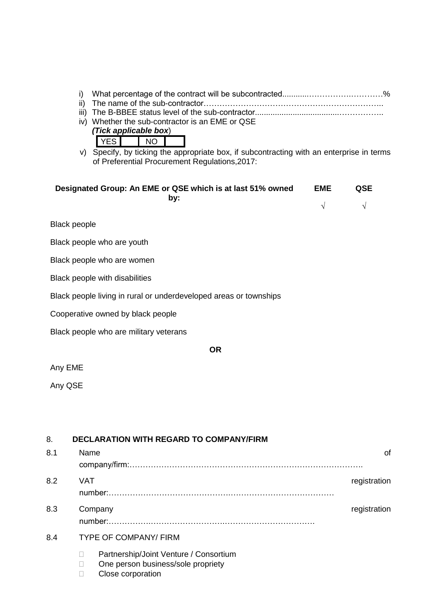|         | i)<br>iv) Whether the sub-contractor is an EME or QSE<br>(Tick applicable box)<br><b>YES</b><br><b>NO</b><br>v) Specify, by ticking the appropriate box, if subcontracting with an enterprise in terms<br>of Preferential Procurement Regulations, 2017: |                          |                  |
|---------|----------------------------------------------------------------------------------------------------------------------------------------------------------------------------------------------------------------------------------------------------------|--------------------------|------------------|
|         | Designated Group: An EME or QSE which is at last 51% owned<br>by:                                                                                                                                                                                        | <b>EME</b><br>$\sqrt{ }$ | QSE<br>$\sqrt{}$ |
|         | <b>Black people</b>                                                                                                                                                                                                                                      |                          |                  |
|         | Black people who are youth                                                                                                                                                                                                                               |                          |                  |
|         | Black people who are women                                                                                                                                                                                                                               |                          |                  |
|         | Black people with disabilities                                                                                                                                                                                                                           |                          |                  |
|         | Black people living in rural or underdeveloped areas or townships                                                                                                                                                                                        |                          |                  |
|         | Cooperative owned by black people                                                                                                                                                                                                                        |                          |                  |
|         | Black people who are military veterans                                                                                                                                                                                                                   |                          |                  |
|         | <b>OR</b>                                                                                                                                                                                                                                                |                          |                  |
| Any EME |                                                                                                                                                                                                                                                          |                          |                  |
| Any QSE |                                                                                                                                                                                                                                                          |                          |                  |
|         |                                                                                                                                                                                                                                                          |                          |                  |
|         |                                                                                                                                                                                                                                                          |                          |                  |
| 8.      | <b>DECLARATION WITH REGARD TO COMPANY/FIRM</b>                                                                                                                                                                                                           |                          |                  |
| 8.1     | Name                                                                                                                                                                                                                                                     |                          | 0f               |
| 8.2     | <b>VAT</b>                                                                                                                                                                                                                                               |                          | registration     |
| 8.3     | Company                                                                                                                                                                                                                                                  |                          | registration     |
| 8.4     | <b>TYPE OF COMPANY/ FIRM</b>                                                                                                                                                                                                                             |                          |                  |
|         | Partnership/Joint Venture / Consortium<br>П                                                                                                                                                                                                              |                          |                  |

- □ One person business/sole propriety
- □ Close corporation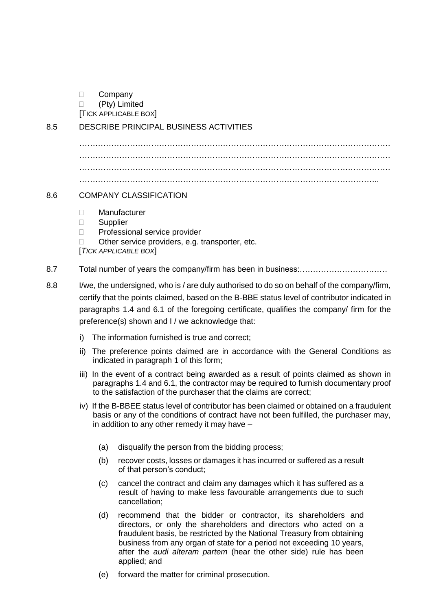D Company

(Pty) Limited

[TICK APPLICABLE BOX]

8.5 DESCRIBE PRINCIPAL BUSINESS ACTIVITIES

……………………………………………………………………………………………………… ……………………………………………………………………………………………………… ……………………………………………………………………………………………………… …………………………………………………………………………………………………..

### 8.6 COMPANY CLASSIFICATION

- Manufacturer
- $\Box$  Supplier
- D Professional service provider
- $\Box$  Other service providers, e.g. transporter, etc.

[*TICK APPLICABLE BOX*]

- 8.7 Total number of years the company/firm has been in business:……………………………
- 8.8 I/we, the undersigned, who is / are duly authorised to do so on behalf of the company/firm, certify that the points claimed, based on the B-BBE status level of contributor indicated in paragraphs 1.4 and 6.1 of the foregoing certificate, qualifies the company/ firm for the preference(s) shown and I / we acknowledge that:
	- i) The information furnished is true and correct;
	- ii) The preference points claimed are in accordance with the General Conditions as indicated in paragraph 1 of this form;
	- iii) In the event of a contract being awarded as a result of points claimed as shown in paragraphs 1.4 and 6.1, the contractor may be required to furnish documentary proof to the satisfaction of the purchaser that the claims are correct;
	- iv) If the B-BBEE status level of contributor has been claimed or obtained on a fraudulent basis or any of the conditions of contract have not been fulfilled, the purchaser may, in addition to any other remedy it may have –
		- (a) disqualify the person from the bidding process;
		- (b) recover costs, losses or damages it has incurred or suffered as a result of that person's conduct;
		- (c) cancel the contract and claim any damages which it has suffered as a result of having to make less favourable arrangements due to such cancellation;
		- (d) recommend that the bidder or contractor, its shareholders and directors, or only the shareholders and directors who acted on a fraudulent basis, be restricted by the National Treasury from obtaining business from any organ of state for a period not exceeding 10 years, after the *audi alteram partem* (hear the other side) rule has been applied; and
		- (e) forward the matter for criminal prosecution.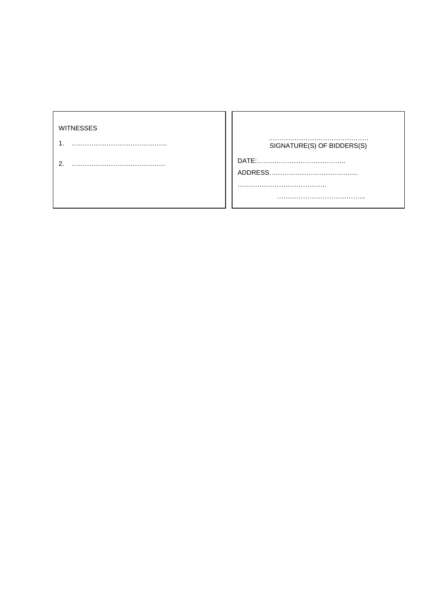<span id="page-54-0"></span>

| SIGNATURE(S) OF BIDDERS(S) |
|----------------------------|
|                            |
|                            |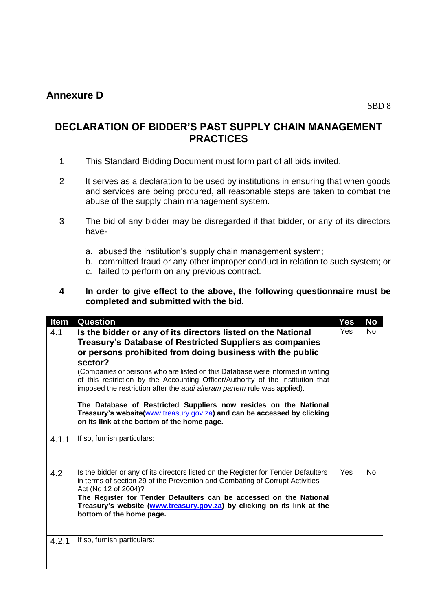# **Annexure D**

# **DECLARATION OF BIDDER'S PAST SUPPLY CHAIN MANAGEMENT PRACTICES**

- 1 This Standard Bidding Document must form part of all bids invited.
- 2 It serves as a declaration to be used by institutions in ensuring that when goods and services are being procured, all reasonable steps are taken to combat the abuse of the supply chain management system.
- 3 The bid of any bidder may be disregarded if that bidder, or any of its directors have
	- a. abused the institution's supply chain management system;
	- b. committed fraud or any other improper conduct in relation to such system; or
	- c. failed to perform on any previous contract.

#### **4 In order to give effect to the above, the following questionnaire must be completed and submitted with the bid.**

| Item  | <b>Question</b>                                                                                                                                                                                                                                                                                                                                                                                                                                                                                                                                                                                                                                 | Yes        | No  |
|-------|-------------------------------------------------------------------------------------------------------------------------------------------------------------------------------------------------------------------------------------------------------------------------------------------------------------------------------------------------------------------------------------------------------------------------------------------------------------------------------------------------------------------------------------------------------------------------------------------------------------------------------------------------|------------|-----|
| 4.1   | Is the bidder or any of its directors listed on the National<br>Treasury's Database of Restricted Suppliers as companies<br>or persons prohibited from doing business with the public<br>sector?<br>(Companies or persons who are listed on this Database were informed in writing<br>of this restriction by the Accounting Officer/Authority of the institution that<br>imposed the restriction after the audi alteram partem rule was applied).<br>The Database of Restricted Suppliers now resides on the National<br>Treasury's website(www.treasury.gov.za) and can be accessed by clicking<br>on its link at the bottom of the home page. | Yes        | No  |
| 4.1.1 | If so, furnish particulars:                                                                                                                                                                                                                                                                                                                                                                                                                                                                                                                                                                                                                     |            |     |
| 4.2   | Is the bidder or any of its directors listed on the Register for Tender Defaulters<br>in terms of section 29 of the Prevention and Combating of Corrupt Activities<br>Act (No 12 of 2004)?<br>The Register for Tender Defaulters can be accessed on the National<br>Treasury's website (www.treasury.gov.za) by clicking on its link at the<br>bottom of the home page.                                                                                                                                                                                                                                                                         | <b>Yes</b> | No. |
| 4.2.1 | If so, furnish particulars:                                                                                                                                                                                                                                                                                                                                                                                                                                                                                                                                                                                                                     |            |     |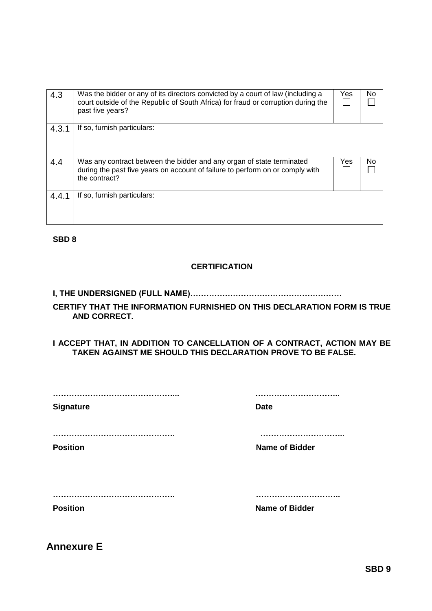|       |                                                                                   | Yes | No. |  |  |
|-------|-----------------------------------------------------------------------------------|-----|-----|--|--|
| 4.3   | Was the bidder or any of its directors convicted by a court of law (including a   |     |     |  |  |
|       | court outside of the Republic of South Africa) for fraud or corruption during the |     |     |  |  |
|       | past five years?                                                                  |     |     |  |  |
|       |                                                                                   |     |     |  |  |
| 4.3.1 | If so, furnish particulars:                                                       |     |     |  |  |
|       |                                                                                   |     |     |  |  |
|       |                                                                                   |     |     |  |  |
|       |                                                                                   |     |     |  |  |
| 4.4   | Was any contract between the bidder and any organ of state terminated             | Yes | No  |  |  |
|       | during the past five years on account of failure to perform on or comply with     |     |     |  |  |
|       | the contract?                                                                     |     |     |  |  |
|       |                                                                                   |     |     |  |  |
|       | If so, furnish particulars:                                                       |     |     |  |  |
| 4.4.1 |                                                                                   |     |     |  |  |
|       |                                                                                   |     |     |  |  |
|       |                                                                                   |     |     |  |  |
|       |                                                                                   |     |     |  |  |

**SBD 8**

#### **CERTIFICATION**

# **I, THE UNDERSIGNED (FULL NAME)…………………………………………………**

#### **CERTIFY THAT THE INFORMATION FURNISHED ON THIS DECLARATION FORM IS TRUE AND CORRECT.**

#### **I ACCEPT THAT, IN ADDITION TO CANCELLATION OF A CONTRACT, ACTION MAY BE TAKEN AGAINST ME SHOULD THIS DECLARATION PROVE TO BE FALSE.**

| <b>Signature</b>    | <b>Date</b>               |
|---------------------|---------------------------|
| <br><b>Position</b> | <b>Name of Bidder</b>     |
| <br><b>Position</b> | <br><b>Name of Bidder</b> |

<span id="page-56-0"></span>**Annexure E**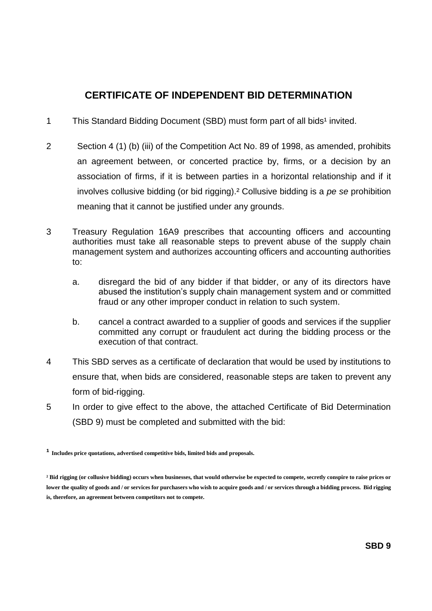# **CERTIFICATE OF INDEPENDENT BID DETERMINATION**

- 1 This Standard Bidding Document (SBD) must form part of all bids<sup>1</sup> invited.
- 2 Section 4 (1) (b) (iii) of the Competition Act No. 89 of 1998, as amended, prohibits an agreement between, or concerted practice by, firms, or a decision by an association of firms, if it is between parties in a horizontal relationship and if it involves collusive bidding (or bid rigging).² Collusive bidding is a *pe se* prohibition meaning that it cannot be justified under any grounds.
- 3 Treasury Regulation 16A9 prescribes that accounting officers and accounting authorities must take all reasonable steps to prevent abuse of the supply chain management system and authorizes accounting officers and accounting authorities to:
	- a. disregard the bid of any bidder if that bidder, or any of its directors have abused the institution's supply chain management system and or committed fraud or any other improper conduct in relation to such system.
	- b. cancel a contract awarded to a supplier of goods and services if the supplier committed any corrupt or fraudulent act during the bidding process or the execution of that contract.
- 4 This SBD serves as a certificate of declaration that would be used by institutions to ensure that, when bids are considered, reasonable steps are taken to prevent any form of bid-rigging.
- 5 In order to give effect to the above, the attached Certificate of Bid Determination (SBD 9) must be completed and submitted with the bid:

**¹ Includes price quotations, advertised competitive bids, limited bids and proposals.**

**² Bid rigging (or collusive bidding) occurs when businesses, that would otherwise be expected to compete, secretly conspire to raise prices or lower the quality of goods and / or services for purchasers who wish to acquire goods and / or services through a bidding process. Bid rigging is, therefore, an agreement between competitors not to compete.**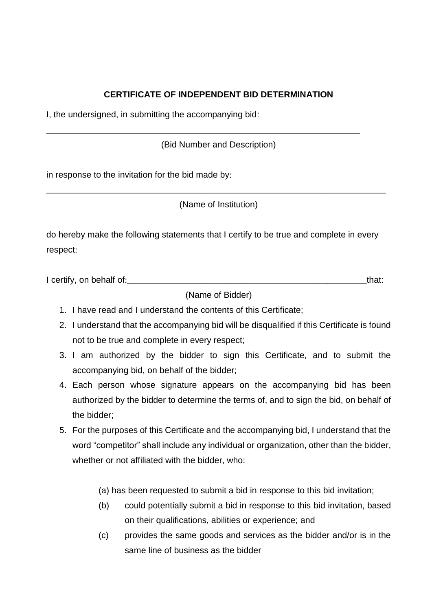# **CERTIFICATE OF INDEPENDENT BID DETERMINATION**

I, the undersigned, in submitting the accompanying bid:

(Bid Number and Description)

\_\_\_\_\_\_\_\_\_\_\_\_\_\_\_\_\_\_\_\_\_\_\_\_\_\_\_\_\_\_\_\_\_\_\_\_\_\_\_\_\_\_\_\_\_\_\_\_\_\_\_\_\_\_\_\_\_\_\_\_\_\_\_\_\_\_\_\_\_\_\_\_

in response to the invitation for the bid made by:

(Name of Institution)

\_\_\_\_\_\_\_\_\_\_\_\_\_\_\_\_\_\_\_\_\_\_\_\_\_\_\_\_\_\_\_\_\_\_\_\_\_\_\_\_\_\_\_\_\_\_\_\_\_\_\_\_\_\_\_\_\_\_\_\_\_\_\_\_\_\_\_\_\_\_\_\_\_\_\_\_\_\_

do hereby make the following statements that I certify to be true and complete in every respect:

I certify, on behalf of:\_\_\_\_\_\_\_\_\_\_\_\_\_\_\_\_\_\_\_\_\_\_\_\_\_\_\_\_\_\_\_\_\_\_\_\_\_\_\_\_\_\_\_\_\_\_\_\_\_\_\_\_\_\_\_that:

(Name of Bidder)

- 1. I have read and I understand the contents of this Certificate;
- 2. I understand that the accompanying bid will be disqualified if this Certificate is found not to be true and complete in every respect;
- 3. I am authorized by the bidder to sign this Certificate, and to submit the accompanying bid, on behalf of the bidder;
- 4. Each person whose signature appears on the accompanying bid has been authorized by the bidder to determine the terms of, and to sign the bid, on behalf of the bidder;
- 5. For the purposes of this Certificate and the accompanying bid, I understand that the word "competitor" shall include any individual or organization, other than the bidder, whether or not affiliated with the bidder, who:

(a) has been requested to submit a bid in response to this bid invitation;

- (b) could potentially submit a bid in response to this bid invitation, based on their qualifications, abilities or experience; and
- (c) provides the same goods and services as the bidder and/or is in the same line of business as the bidder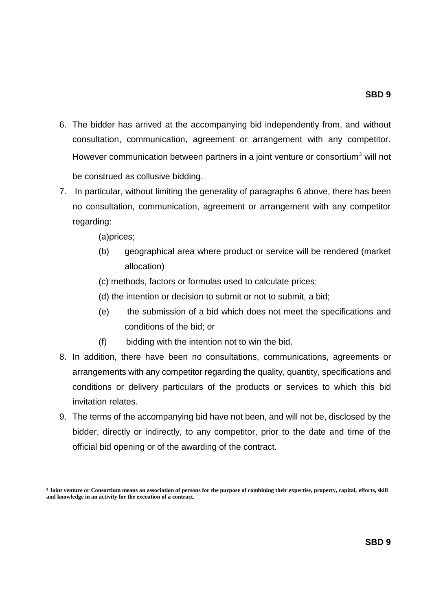- 6. The bidder has arrived at the accompanying bid independently from, and without consultation, communication, agreement or arrangement with any competitor. However communication between partners in a joint venture or consortium<sup>3</sup> will not be construed as collusive bidding.
- 7. In particular, without limiting the generality of paragraphs 6 above, there has been no consultation, communication, agreement or arrangement with any competitor regarding:

(a)prices;

- (b) geographical area where product or service will be rendered (market allocation)
- (c) methods, factors or formulas used to calculate prices;
- (d) the intention or decision to submit or not to submit, a bid;
- (e) the submission of a bid which does not meet the specifications and conditions of the bid; or
- (f) bidding with the intention not to win the bid.
- 8. In addition, there have been no consultations, communications, agreements or arrangements with any competitor regarding the quality, quantity, specifications and conditions or delivery particulars of the products or services to which this bid invitation relates.
- 9. The terms of the accompanying bid have not been, and will not be, disclosed by the bidder, directly or indirectly, to any competitor, prior to the date and time of the official bid opening or of the awarding of the contract.

**³ Joint venture or Consortium means an association of persons for the purpose of combining their expertise, property, capital, efforts, skill and knowledge in an activity for the execution of a contract.**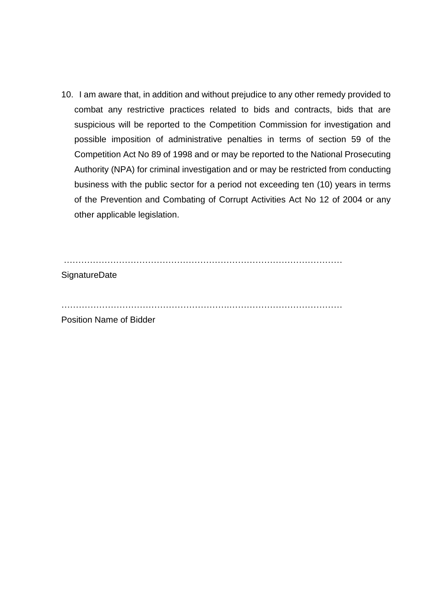10. I am aware that, in addition and without prejudice to any other remedy provided to combat any restrictive practices related to bids and contracts, bids that are suspicious will be reported to the Competition Commission for investigation and possible imposition of administrative penalties in terms of section 59 of the Competition Act No 89 of 1998 and or may be reported to the National Prosecuting Authority (NPA) for criminal investigation and or may be restricted from conducting business with the public sector for a period not exceeding ten (10) years in terms of the Prevention and Combating of Corrupt Activities Act No 12 of 2004 or any other applicable legislation.

……………………………………………………………………………………

**SignatureDate** 

………………………………………………….…………………………………

Position Name of Bidder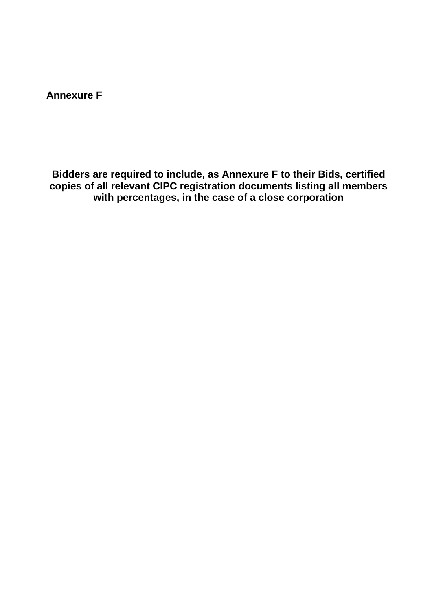<span id="page-61-0"></span>**Annexure F**

**Bidders are required to include, as Annexure F to their Bids, certified copies of all relevant CIPC registration documents listing all members with percentages, in the case of a close corporation**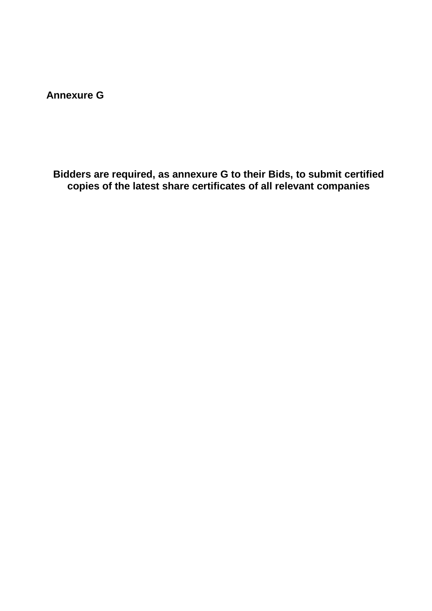<span id="page-62-0"></span>**Annexure G**

**Bidders are required, as annexure G to their Bids, to submit certified copies of the latest share certificates of all relevant companies**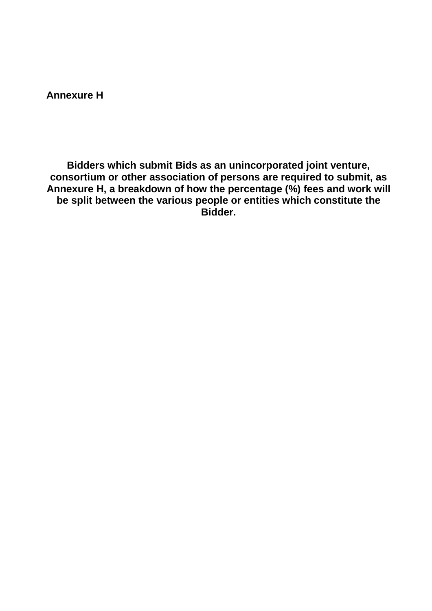<span id="page-63-0"></span>**Annexure H**

**Bidders which submit Bids as an unincorporated joint venture, consortium or other association of persons are required to submit, as Annexure H, a breakdown of how the percentage (%) fees and work will be split between the various people or entities which constitute the Bidder.**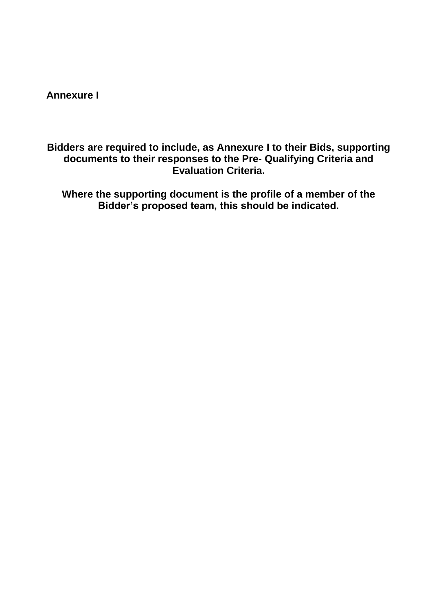<span id="page-64-0"></span>**Annexure I**

**Bidders are required to include, as Annexure I to their Bids, supporting documents to their responses to the Pre- Qualifying Criteria and Evaluation Criteria.**

**Where the supporting document is the profile of a member of the Bidder's proposed team, this should be indicated.**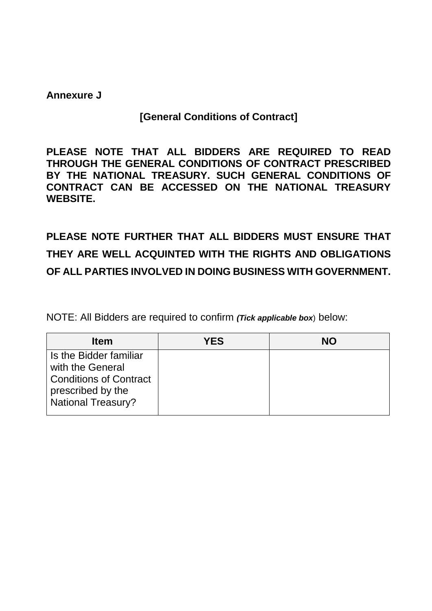# <span id="page-65-0"></span>**Annexure J**

# **[General Conditions of Contract]**

**PLEASE NOTE THAT ALL BIDDERS ARE REQUIRED TO READ THROUGH THE GENERAL CONDITIONS OF CONTRACT PRESCRIBED BY THE NATIONAL TREASURY. SUCH GENERAL CONDITIONS OF CONTRACT CAN BE ACCESSED ON THE NATIONAL TREASURY WEBSITE.**

# **PLEASE NOTE FURTHER THAT ALL BIDDERS MUST ENSURE THAT THEY ARE WELL ACQUINTED WITH THE RIGHTS AND OBLIGATIONS OF ALL PARTIES INVOLVED IN DOING BUSINESS WITH GOVERNMENT.**

NOTE: All Bidders are required to confirm *(Tick applicable box*) below:

| <b>Item</b>                                                                     | <b>YES</b> | <b>NO</b> |
|---------------------------------------------------------------------------------|------------|-----------|
| Is the Bidder familiar<br>with the General                                      |            |           |
| <b>Conditions of Contract</b><br>prescribed by the<br><b>National Treasury?</b> |            |           |